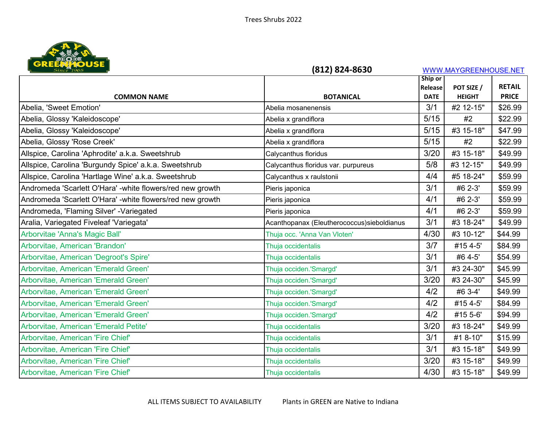

| Since 1965                                                | (812) 824-8630                              |                               | WWW.MAYGREENHOUSE.NET       |                               |
|-----------------------------------------------------------|---------------------------------------------|-------------------------------|-----------------------------|-------------------------------|
|                                                           |                                             | Ship or                       |                             |                               |
| <b>COMMON NAME</b>                                        | <b>BOTANICAL</b>                            | <b>Release</b><br><b>DATE</b> | POT SIZE /<br><b>HEIGHT</b> | <b>RETAIL</b><br><b>PRICE</b> |
| Abelia, 'Sweet Emotion'                                   | Abelia mosanenensis                         | 3/1                           | #2 12-15"                   | \$26.99                       |
| Abelia, Glossy 'Kaleidoscope'                             | Abelia x grandiflora                        | $5/15$                        | #2                          | \$22.99                       |
| Abelia, Glossy 'Kaleidoscope'                             | Abelia x grandiflora                        | $5/15$                        | #3 15-18"                   | \$47.99                       |
| Abelia, Glossy 'Rose Creek'                               | Abelia x grandiflora                        | 5/15                          | #2                          | \$22.99                       |
| Allspice, Carolina 'Aphrodite' a.k.a. Sweetshrub          | Calycanthus floridus                        | 3/20                          | #3 15-18"                   | \$49.99                       |
| Allspice, Carolina 'Burgundy Spice' a.k.a. Sweetshrub     | Calycanthus floridus var. purpureus         | 5/8                           | #3 12-15"                   | \$49.99                       |
| Allspice, Carolina 'Hartlage Wine' a.k.a. Sweetshrub      | Calycanthus x raulstonii                    | 4/4                           | #5 18-24"                   | \$59.99                       |
| Andromeda 'Scarlett O'Hara' -white flowers/red new growth | Pieris japonica                             | 3/1                           | #6 2-3'                     | \$59.99                       |
| Andromeda 'Scarlett O'Hara' -white flowers/red new growth | Pieris japonica                             | 4/1                           | #6 2-3'                     | \$59.99                       |
| Andromeda, 'Flaming Silver' - Variegated                  | Pieris japonica                             | 4/1                           | #6 2-3'                     | \$59.99                       |
| Aralia, Variegated Fiveleaf 'Variegata'                   | Acanthopanax (Eleutherococcus) sieboldianus | 3/1                           | #3 18-24"                   | \$49.99                       |
| Arborvitae 'Anna's Magic Ball'                            | Thuja occ. 'Anna Van Vloten'                | 4/30                          | #3 10-12"                   | \$44.99                       |
| Arborvitae, American 'Brandon'                            | Thuja occidentalis                          | 3/7                           | #15 4-5'                    | \$84.99                       |
| Arborvitae, American 'Degroot's Spire'                    | Thuja occidentalis                          | 3/1                           | #6 4-5'                     | \$54.99                       |
| Arborvitae, American 'Emerald Green'                      | Thuja occiden.'Smargd'                      | 3/1                           | #3 24-30"                   | \$45.99                       |
| Arborvitae, American 'Emerald Green'                      | Thuja occiden.'Smargd'                      | 3/20                          | #3 24-30"                   | \$45.99                       |
| Arborvitae, American 'Emerald Green'                      | Thuja occiden.'Smargd'                      | 4/2                           | #6 3-4'                     | \$49.99                       |
| Arborvitae, American 'Emerald Green'                      | Thuja occiden.'Smargd'                      | 4/2                           | #15 4-5'                    | \$84.99                       |
| Arborvitae, American 'Emerald Green'                      | Thuja occiden.'Smargd'                      | 4/2                           | #15 5-6'                    | \$94.99                       |
| Arborvitae, American 'Emerald Petite'                     | Thuja occidentalis                          | 3/20                          | #3 18-24"                   | \$49.99                       |
| Arborvitae, American 'Fire Chief'                         | Thuja occidentalis                          | 3/1                           | #1 8-10"                    | \$15.99                       |
| Arborvitae, American 'Fire Chief'                         | Thuja occidentalis                          | 3/1                           | #3 15-18"                   | \$49.99                       |
| Arborvitae, American 'Fire Chief'                         | Thuja occidentalis                          | 3/20                          | #3 15-18"                   | \$49.99                       |
| Arborvitae, American 'Fire Chief'                         | Thuja occidentalis                          | 4/30                          | #3 15-18"                   | \$49.99                       |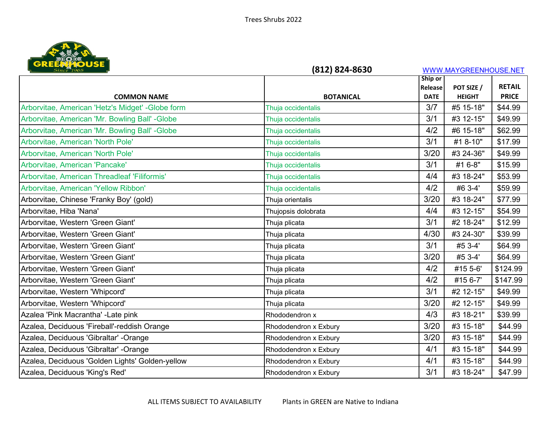

| Since 1965                                        | (812) 824-8630        |                    | WWW.MAYGREENHOUSE.NET |                               |
|---------------------------------------------------|-----------------------|--------------------|-----------------------|-------------------------------|
|                                                   |                       | Ship or            |                       |                               |
|                                                   | <b>BOTANICAL</b>      | Release            | POT SIZE /            | <b>RETAIL</b><br><b>PRICE</b> |
| <b>COMMON NAME</b>                                |                       | <b>DATE</b><br>3/7 | <b>HEIGHT</b>         | \$44.99                       |
| Arborvitae, American 'Hetz's Midget' - Globe form | Thuja occidentalis    |                    | #5 15-18"             |                               |
| Arborvitae, American 'Mr. Bowling Ball' - Globe   | Thuja occidentalis    | 3/1                | #3 12-15"             | \$49.99                       |
| Arborvitae, American 'Mr. Bowling Ball' -Globe    | Thuja occidentalis    | 4/2                | #6 15-18"             | \$62.99                       |
| Arborvitae, American 'North Pole'                 | Thuja occidentalis    | 3/1                | #1 8-10"              | \$17.99                       |
| Arborvitae, American 'North Pole'                 | Thuja occidentalis    | 3/20               | #3 24-36"             | \$49.99                       |
| Arborvitae, American 'Pancake'                    | Thuja occidentalis    | 3/1                | #1 6-8"               | \$15.99                       |
| Arborvitae, American Threadleaf 'Filiformis'      | Thuja occidentalis    | 4/4                | #3 18-24"             | \$53.99                       |
| Arborvitae, American 'Yellow Ribbon'              | Thuja occidentalis    | 4/2                | #6 3-4'               | \$59.99                       |
| Arborvitae, Chinese 'Franky Boy' (gold)           | Thuja orientalis      | 3/20               | #3 18-24"             | \$77.99                       |
| Arborvitae, Hiba 'Nana'                           | Thujopsis dolobrata   | 4/4                | #3 12-15"             | \$54.99                       |
| Arborvitae, Western 'Green Giant'                 | Thuja plicata         | 3/1                | #2 18-24"             | \$12.99                       |
| Arborvitae, Western 'Green Giant'                 | Thuja plicata         | 4/30               | #3 24-30"             | \$39.99                       |
| Arborvitae, Western 'Green Giant'                 | Thuja plicata         | 3/1                | #5 3-4'               | \$64.99                       |
| Arborvitae, Western 'Green Giant'                 | Thuja plicata         | 3/20               | #5 3-4'               | \$64.99                       |
| Arborvitae, Western 'Green Giant'                 | Thuja plicata         | 4/2                | #15 5-6'              | \$124.99                      |
| Arborvitae, Western 'Green Giant'                 | Thuja plicata         | 4/2                | #15 6-7'              | \$147.99                      |
| Arborvitae, Western 'Whipcord'                    | Thuja plicata         | 3/1                | #2 12-15"             | \$49.99                       |
| Arborvitae, Western 'Whipcord'                    | Thuja plicata         | 3/20               | #2 12-15"             | \$49.99                       |
| Azalea 'Pink Macrantha' - Late pink               | Rhododendron x        | 4/3                | #3 18-21"             | \$39.99                       |
| Azalea, Deciduous 'Fireball'-reddish Orange       | Rhododendron x Exbury | 3/20               | #3 15-18"             | \$44.99                       |
| Azalea, Deciduous 'Gibraltar' -Orange             | Rhododendron x Exbury | 3/20               | #3 15-18"             | \$44.99                       |
| Azalea, Deciduous 'Gibraltar' -Orange             | Rhododendron x Exbury | 4/1                | #3 15-18"             | \$44.99                       |
| Azalea, Deciduous 'Golden Lights' Golden-yellow   | Rhododendron x Exbury | 4/1                | #3 15-18"             | \$44.99                       |
| Azalea, Deciduous 'King's Red'                    | Rhododendron x Exbury | 3/1                | #3 18-24"             | \$47.99                       |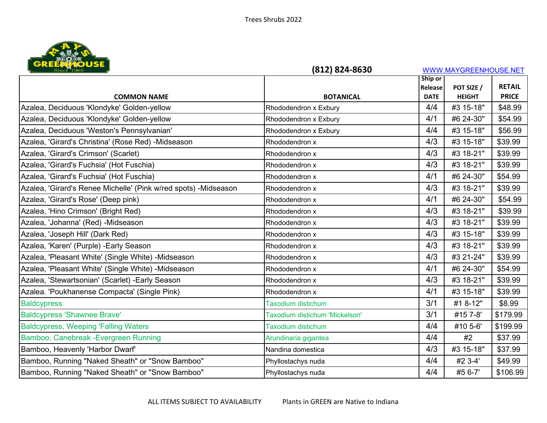

| Since 1965                                                      | (812) 824-8630                 |             | WWW.MAYGREENHOUSE.NET |               |
|-----------------------------------------------------------------|--------------------------------|-------------|-----------------------|---------------|
|                                                                 |                                | Ship or     |                       |               |
|                                                                 |                                | Release     | POT SIZE /            | <b>RETAIL</b> |
| <b>COMMON NAME</b>                                              | <b>BOTANICAL</b>               | <b>DATE</b> | <b>HEIGHT</b>         | <b>PRICE</b>  |
| Azalea, Deciduous 'Klondyke' Golden-yellow                      | Rhododendron x Exbury          | 4/4         | #3 15-18"             | \$48.99       |
| Azalea, Deciduous 'Klondyke' Golden-yellow                      | Rhododendron x Exbury          | 4/1         | #6 24-30"             | \$54.99       |
| Azalea, Deciduous 'Weston's Pennsylvanian'                      | Rhododendron x Exbury          | 4/4         | #3 15-18"             | \$56.99       |
| Azalea, 'Girard's Christina' (Rose Red) -Midseason              | Rhododendron x                 | 4/3         | #3 15-18"             | \$39.99       |
| Azalea, 'Girard's Crimson' (Scarlet)                            | Rhododendron x                 | 4/3         | #3 18-21"             | \$39.99       |
| Azalea, 'Girard's Fuchsia' (Hot Fuschia)                        | Rhododendron x                 | 4/3         | #3 18-21"             | \$39.99       |
| Azalea, 'Girard's Fuchsia' (Hot Fuschia)                        | Rhododendron x                 | 4/1         | #6 24-30"             | \$54.99       |
| Azalea, 'Girard's Renee Michelle' (Pink w/red spots) -Midseason | Rhododendron x                 | 4/3         | #3 18-21"             | \$39.99       |
| Azalea, 'Girard's Rose' (Deep pink)                             | Rhododendron x                 | 4/1         | #6 24-30"             | \$54.99       |
| Azalea, 'Hino Crimson' (Bright Red)                             | Rhododendron x                 | 4/3         | #3 18-21"             | \$39.99       |
| Azalea, 'Johanna' (Red) -Midseason                              | Rhododendron x                 | 4/3         | #3 18-21"             | \$39.99       |
| Azalea, 'Joseph Hill' (Dark Red)                                | Rhododendron x                 | 4/3         | #3 15-18"             | \$39.99       |
| Azalea, 'Karen' (Purple) - Early Season                         | Rhododendron x                 | 4/3         | #3 18-21"             | \$39.99       |
| Azalea, 'Pleasant White' (Single White) -Midseason              | Rhododendron x                 | 4/3         | #3 21-24"             | \$39.99       |
| Azalea, 'Pleasant White' (Single White) -Midseason              | Rhododendron x                 | 4/1         | #6 24-30"             | \$54.99       |
| Azalea, 'Stewartsonian' (Scarlet) - Early Season                | Rhododendron x                 | 4/3         | #3 18-21"             | \$39.99       |
| Azalea. 'Poukhanense Compacta' (Single Pink)                    | Rhododendron x                 | 4/1         | #3 15-18"             | \$39.99       |
| <b>Baldcypress</b>                                              | <b>Taxodium distichum</b>      | 3/1         | #1 8-12"              | \$8.99        |
| <b>Baldcypress 'Shawnee Brave'</b>                              | Taxodium distichum 'Mickelson' | 3/1         | #15 7-8'              | \$179.99      |
| <b>Baldcypress, Weeping 'Falling Waters'</b>                    | <b>Taxodium distichum</b>      | 4/4         | #10 5-6'              | \$199.99      |
| Bamboo, Canebreak - Evergreen Running                           | Arundinaria gigantea           | 4/4         | #2                    | \$37.99       |
| Bamboo, Heavenly 'Harbor Dwarf'                                 | Nandina domestica              | 4/3         | #3 15-18"             | \$37.99       |
| Bamboo, Running "Naked Sheath" or "Snow Bamboo"                 | Phyllostachys nuda             | 4/4         | #2 3-4'               | \$49.99       |
| Bamboo, Running "Naked Sheath" or "Snow Bamboo"                 | Phyllostachys nuda             | 4/4         | #5 6-7'               | \$106.99      |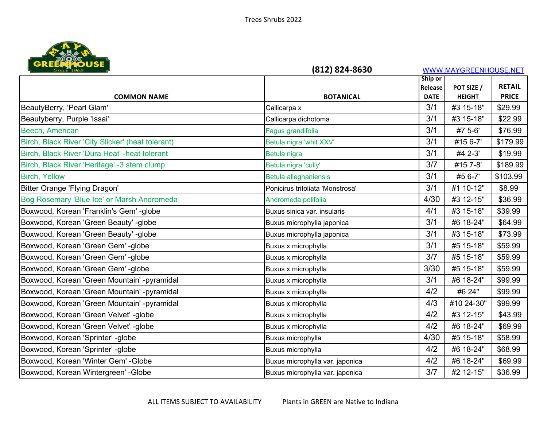

| <b>URE PART DUSE</b>                              | (812) 824-8630                   |             | WWW.MAYGREENHOUSE.NET |               |
|---------------------------------------------------|----------------------------------|-------------|-----------------------|---------------|
|                                                   |                                  | Ship or     |                       |               |
|                                                   |                                  | Release     | POT SIZE /            | <b>RETAIL</b> |
| <b>COMMON NAME</b>                                | <b>BOTANICAL</b>                 | <b>DATE</b> | <b>HEIGHT</b>         | <b>PRICE</b>  |
| BeautyBerry, 'Pearl Glam'                         | Callicarpa x                     | 3/1         | #3 15-18"             | \$29.99       |
| Beautyberry, Purple 'Issai'                       | Callicarpa dichotoma             | 3/1         | #3 15-18"             | \$22.99       |
| Beech, American                                   | Fagus grandifolia                | 3/1         | #7 5-6'               | \$76.99       |
| Birch, Black River 'City Slicker' (heat tolerant) | Betula nigra 'whit XXV'          | 3/1         | #15 6-7'              | \$179.99      |
| Birch, Black River 'Dura Heat' - heat tolerant    | Betula nigra                     | 3/1         | #4 2-3'               | \$19.99       |
| Birch, Black River 'Heritage' -3 stem clump       | Betula nigra 'cully'             | 3/7         | #15 7-8'              | \$189.99      |
| <b>Birch, Yellow</b>                              | Betula alleghaniensis            | 3/1         | #5 6-7'               | \$103.99      |
| Bitter Orange 'Flying Dragon'                     | Ponicirus trifoliata 'Monstrosa' | 3/1         | #1 10-12"             | \$8.99        |
| Bog Rosemary 'Blue Ice' or Marsh Andromeda        | Andromeda polifolia              | 4/30        | #3 12-15"             | \$36.99       |
| Boxwood, Korean 'Franklin's Gem' -globe           | Buxus sinica var. insularis      | 4/1         | #3 15-18"             | \$39.99       |
| Boxwood, Korean 'Green Beauty' -globe             | Buxus microphylla japonica       | 3/1         | #6 18-24"             | \$64.99       |
| Boxwood, Korean 'Green Beauty' -globe             | Buxus microphylla japonica       | 3/1         | #3 15-18"             | \$73.99       |
| Boxwood, Korean 'Green Gem' -globe                | Buxus x microphylla              | 3/1         | #5 15-18"             | \$59.99       |
| Boxwood, Korean 'Green Gem' -globe                | Buxus x microphylla              | 3/7         | #5 15-18"             | \$59.99       |
| Boxwood, Korean 'Green Gem' -globe                | Buxus x microphylla              | 3/30        | #5 15-18"             | \$59.99       |
| Boxwood, Korean 'Green Mountain' -pyramidal       | Buxus x microphylla              | 3/1         | #6 18-24"             | \$99.99       |
| Boxwood, Korean 'Green Mountain' -pyramidal       | Buxus x microphylla              | 4/2         | #6 24"                | \$99.99       |
| Boxwood, Korean 'Green Mountain' -pyramidal       | Buxus x microphylla              | 4/3         | #10 24-30"            | \$99.99       |
| Boxwood, Korean 'Green Velvet' -globe             | Buxus x microphylla              | 4/2         | #3 12-15"             | \$43.99       |
| Boxwood, Korean 'Green Velvet' -globe             | Buxus x microphylla              | 4/2         | #6 18-24"             | \$69.99       |
| Boxwood, Korean 'Sprinter' -globe                 | Buxus microphylla                | 4/30        | #5 15-18"             | \$58.99       |
| Boxwood, Korean 'Sprinter' -globe                 | Buxus microphylla                | 4/2         | #6 18-24"             | \$68.99       |
| Boxwood, Korean 'Winter Gem' - Globe              | Buxus microphylla var. japonica  | 4/2         | #6 18-24"             | \$69.99       |
| Boxwood, Korean Wintergreen' - Globe              | Buxus microphylla var. japonica  | 3/7         | #2 12-15"             | \$36.99       |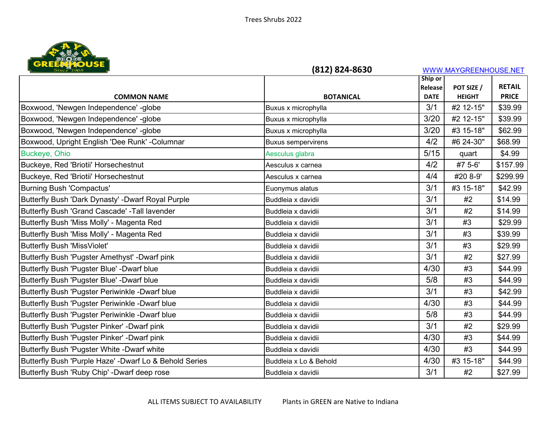

| Since 1965                                             | (812) 824-8630            |             | WWW.MAYGREENHOUSE.NET |               |
|--------------------------------------------------------|---------------------------|-------------|-----------------------|---------------|
|                                                        |                           | Ship or     |                       |               |
|                                                        |                           | Release     | POT SIZE /            | <b>RETAIL</b> |
| <b>COMMON NAME</b>                                     | <b>BOTANICAL</b>          | <b>DATE</b> | <b>HEIGHT</b>         | <b>PRICE</b>  |
| Boxwood, 'Newgen Independence' -globe                  | Buxus x microphylla       | 3/1         | #2 12-15"             | \$39.99       |
| Boxwood, 'Newgen Independence' -globe                  | Buxus x microphylla       | 3/20        | #2 12-15"             | \$39.99       |
| Boxwood, 'Newgen Independence' -globe                  | Buxus x microphylla       | 3/20        | #3 15-18"             | \$62.99       |
| Boxwood, Upright English 'Dee Runk' - Columnar         | <b>Buxus sempervirens</b> | 4/2         | #6 24-30"             | \$68.99       |
| Buckeye, Ohio                                          | Aesculus glabra           | $5/15$      | quart                 | \$4.99        |
| Buckeye, Red 'Briotii' Horsechestnut                   | Aesculus x carnea         | 4/2         | #7 5-6'               | \$157.99      |
| Buckeye, Red 'Briotii' Horsechestnut                   | Aesculus x carnea         | 4/4         | #20 8-9'              | \$299.99      |
| <b>Burning Bush 'Compactus'</b>                        | Euonymus alatus           | 3/1         | #3 15-18"             | \$42.99       |
| Butterfly Bush 'Dark Dynasty' -Dwarf Royal Purple      | Buddleia x davidii        | 3/1         | #2                    | \$14.99       |
| Butterfly Bush 'Grand Cascade' - Tall lavender         | Buddleia x davidii        | 3/1         | #2                    | \$14.99       |
| Butterfly Bush 'Miss Molly' - Magenta Red              | Buddleia x davidii        | 3/1         | #3                    | \$29.99       |
| Butterfly Bush 'Miss Molly' - Magenta Red              | Buddleia x davidii        | 3/1         | #3                    | \$39.99       |
| <b>Butterfly Bush 'MissViolet'</b>                     | Buddleia x davidii        | 3/1         | #3                    | \$29.99       |
| Butterfly Bush 'Pugster Amethyst' -Dwarf pink          | Buddleia x davidii        | 3/1         | #2                    | \$27.99       |
| Butterfly Bush 'Pugster Blue' -Dwarf blue              | Buddleia x davidii        | 4/30        | #3                    | \$44.99       |
| Butterfly Bush 'Pugster Blue' -Dwarf blue              | Buddleia x davidii        | 5/8         | #3                    | \$44.99       |
| Butterfly Bush 'Pugster Periwinkle -Dwarf blue         | Buddleia x davidii        | 3/1         | #3                    | \$42.99       |
| Butterfly Bush 'Pugster Periwinkle -Dwarf blue         | Buddleia x davidii        | 4/30        | #3                    | \$44.99       |
| Butterfly Bush 'Pugster Periwinkle -Dwarf blue         | Buddleia x davidii        | 5/8         | #3                    | \$44.99       |
| Butterfly Bush 'Pugster Pinker' -Dwarf pink            | Buddleia x davidii        | 3/1         | #2                    | \$29.99       |
| Butterfly Bush 'Pugster Pinker' -Dwarf pink            | Buddleia x davidii        | 4/30        | #3                    | \$44.99       |
| Butterfly Bush 'Pugster White -Dwarf white             | Buddleia x davidii        | 4/30        | #3                    | \$44.99       |
| Butterfly Bush 'Purple Haze' -Dwarf Lo & Behold Series | Buddleia x Lo & Behold    | 4/30        | #3 15-18"             | \$44.99       |
| Butterfly Bush 'Ruby Chip' -Dwarf deep rose            | Buddleia x davidii        | 3/1         | #2                    | \$27.99       |
|                                                        |                           |             |                       |               |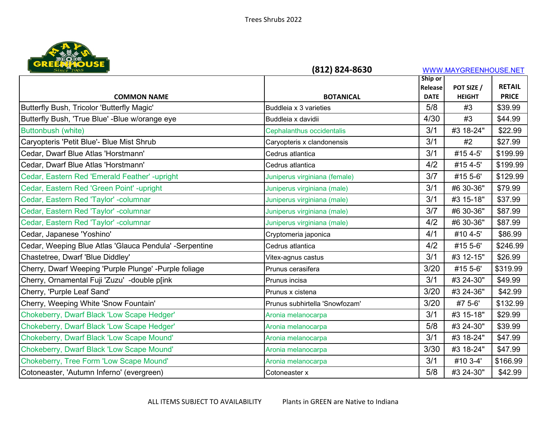

| Since 1965                                              | (812) 824-8630                 |                        | WWW.MAYGREENHOUSE.NET |               |
|---------------------------------------------------------|--------------------------------|------------------------|-----------------------|---------------|
|                                                         |                                | Ship or                | POT SIZE /            | <b>RETAIL</b> |
| <b>COMMON NAME</b>                                      | <b>BOTANICAL</b>               | Release<br><b>DATE</b> | <b>HEIGHT</b>         | <b>PRICE</b>  |
| Butterfly Bush, Tricolor 'Butterfly Magic'              | Buddleia x 3 varieties         | 5/8                    | #3                    | \$39.99       |
| Butterfly Bush, 'True Blue' -Blue w/orange eye          | Buddleia x davidii             | 4/30                   | #3                    | \$44.99       |
| Buttonbush (white)                                      | Cephalanthus occidentalis      | 3/1                    | #3 18-24"             | \$22.99       |
| Caryopteris 'Petit Blue'- Blue Mist Shrub               | Caryopteris x clandonensis     | 3/1                    | #2                    | \$27.99       |
| Cedar, Dwarf Blue Atlas 'Horstmann'                     | Cedrus atlantica               | 3/1                    | #15 4-5'              | \$199.99      |
| Cedar, Dwarf Blue Atlas 'Horstmann'                     | Cedrus atlantica               | 4/2                    | #15 4-5'              | \$199.99      |
| Cedar, Eastern Red 'Emerald Feather' -upright           | Juniperus virginiana (female)  | 3/7                    | #15 5-6'              | \$129.99      |
| Cedar, Eastern Red 'Green Point' -upright               | Juniperus virginiana (male)    | 3/1                    | #6 30-36"             | \$79.99       |
| Cedar, Eastern Red 'Taylor' - columnar                  | Juniperus virginiana (male)    | 3/1                    | #3 15-18"             | \$37.99       |
| Cedar, Eastern Red 'Taylor' -columnar                   | Juniperus virginiana (male)    | 3/7                    | #6 30-36"             | \$87.99       |
| Cedar, Eastern Red 'Taylor' -columnar                   | Juniperus virginiana (male)    | 4/2                    | #6 30-36"             | \$87.99       |
| Cedar, Japanese 'Yoshino'                               | Cryptomeria japonica           | 4/1                    | #10 4-5'              | \$86.99       |
| Cedar, Weeping Blue Atlas 'Glauca Pendula' - Serpentine | Cedrus atlantica               | 4/2                    | #15 5-6'              | \$246.99      |
| Chastetree, Dwarf 'Blue Diddley'                        | Vitex-agnus castus             | 3/1                    | #3 12-15"             | \$26.99       |
| Cherry, Dwarf Weeping 'Purple Plunge' -Purple foliage   | Prunus cerasifera              | 3/20                   | #15 5-6'              | \$319.99      |
| Cherry, Ornamental Fuji 'Zuzu' -double p[ink            | Prunus incisa                  | 3/1                    | #3 24-30"             | \$49.99       |
| Cherry, 'Purple Leaf Sand'                              | Prunus x cistena               | 3/20                   | #3 24-36"             | \$42.99       |
| Cherry, Weeping White 'Snow Fountain'                   | Prunus subhirtella 'Snowfozam' | 3/20                   | #7 5-6'               | \$132.99      |
| Chokeberry, Dwarf Black 'Low Scape Hedger'              | Aronia melanocarpa             | 3/1                    | #3 15-18"             | \$29.99       |
| Chokeberry, Dwarf Black 'Low Scape Hedger'              | Aronia melanocarpa             | 5/8                    | #3 24-30"             | \$39.99       |
| Chokeberry, Dwarf Black 'Low Scape Mound'               | Aronia melanocarpa             | 3/1                    | #3 18-24"             | \$47.99       |
| Chokeberry, Dwarf Black 'Low Scape Mound'               | Aronia melanocarpa             | 3/30                   | #3 18-24"             | \$47.99       |
| Chokeberry, Tree Form 'Low Scape Mound'                 | Aronia melanocarpa             | 3/1                    | #10 3-4'              | \$166.99      |
| Cotoneaster, 'Autumn Inferno' (evergreen)               | Cotoneaster x                  | 5/8                    | #3 24-30"             | \$42.99       |
|                                                         |                                |                        |                       |               |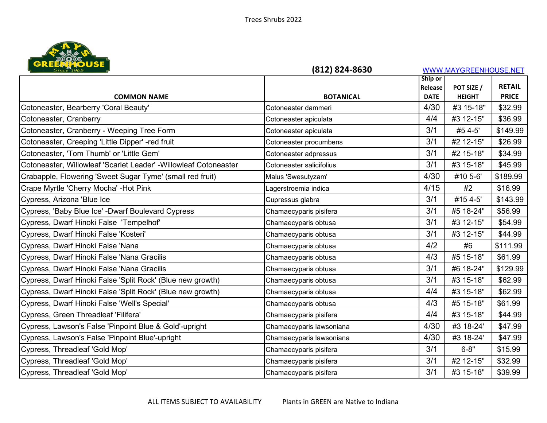

| <b>URE PART DUSE</b>                                              | (812) 824-8630           |                        | WWW.MAYGREENHOUSE.NET       |                               |
|-------------------------------------------------------------------|--------------------------|------------------------|-----------------------------|-------------------------------|
|                                                                   |                          | Ship or                |                             |                               |
| <b>COMMON NAME</b>                                                | <b>BOTANICAL</b>         | Release<br><b>DATE</b> | POT SIZE /<br><b>HEIGHT</b> | <b>RETAIL</b><br><b>PRICE</b> |
| Cotoneaster, Bearberry 'Coral Beauty'                             | Cotoneaster dammeri      | 4/30                   | #3 15-18"                   | \$32.99                       |
| Cotoneaster, Cranberry                                            | Cotoneaster apiculata    | 4/4                    | #3 12-15"                   | \$36.99                       |
| Cotoneaster, Cranberry - Weeping Tree Form                        | Cotoneaster apiculata    | 3/1                    | #5 4-5'                     | \$149.99                      |
| Cotoneaster, Creeping 'Little Dipper' -red fruit                  | Cotoneaster procumbens   | 3/1                    | #2 12-15"                   | \$26.99                       |
| Cotoneaster, 'Tom Thumb' or 'Little Gem'                          | Cotoneaster adpressus    | 3/1                    | #2 15-18"                   | \$34.99                       |
| Cotoneaster, Willowleaf 'Scarlet Leader' - Willowleaf Cotoneaster | Cotoneaster salicifolius | 3/1                    | #3 15-18"                   | \$45.99                       |
| Crabapple, Flowering 'Sweet Sugar Tyme' (small red fruit)         | Malus 'Swesutyzam'       | 4/30                   | #10 5-6'                    | \$189.99                      |
| Crape Myrtle 'Cherry Mocha' - Hot Pink                            | Lagerstroemia indica     | 4/15                   | #2                          | \$16.99                       |
| Cypress, Arizona 'Blue Ice                                        | Cupressus glabra         | 3/1                    | #15 4-5'                    | \$143.99                      |
| Cypress, 'Baby Blue Ice' - Dwarf Boulevard Cypress                | Chamaecyparis pisifera   | 3/1                    | #5 18-24"                   | \$56.99                       |
| Cypress, Dwarf Hinoki False 'Tempelhof'                           | Chamaecyparis obtusa     | 3/1                    | #3 12-15"                   | \$54.99                       |
| Cypress, Dwarf Hinoki False 'Kosteri'                             | Chamaecyparis obtusa     | 3/1                    | #3 12-15"                   | \$44.99                       |
| Cypress, Dwarf Hinoki False 'Nana                                 | Chamaecyparis obtusa     | 4/2                    | #6                          | \$111.99                      |
| Cypress, Dwarf Hinoki False 'Nana Gracilis                        | Chamaecyparis obtusa     | 4/3                    | #5 15-18"                   | \$61.99                       |
| Cypress, Dwarf Hinoki False 'Nana Gracilis                        | Chamaecyparis obtusa     | 3/1                    | #6 18-24"                   | \$129.99                      |
| Cypress, Dwarf Hinoki False 'Split Rock' (Blue new growth)        | Chamaecyparis obtusa     | 3/1                    | #3 15-18"                   | \$62.99                       |
| Cypress, Dwarf Hinoki False 'Split Rock' (Blue new growth)        | Chamaecyparis obtusa     | 4/4                    | #3 15-18"                   | \$62.99                       |
| Cypress, Dwarf Hinoki False 'Well's Special'                      | Chamaecyparis obtusa     | 4/3                    | #5 15-18"                   | \$61.99                       |
| Cypress, Green Threadleaf 'Filifera'                              | Chamaecyparis pisifera   | 4/4                    | #3 15-18"                   | \$44.99                       |
| Cypress, Lawson's False 'Pinpoint Blue & Gold'-upright            | Chamaecyparis lawsoniana | 4/30                   | #3 18-24'                   | \$47.99                       |
| Cypress, Lawson's False 'Pinpoint Blue'-upright                   | Chamaecyparis lawsoniana | 4/30                   | #3 18-24'                   | \$47.99                       |
| Cypress, Threadleaf 'Gold Mop'                                    | Chamaecyparis pisifera   | 3/1                    | $6 - 8"$                    | \$15.99                       |
| Cypress, Threadleaf 'Gold Mop'                                    | Chamaecyparis pisifera   | 3/1                    | #2 12-15"                   | \$32.99                       |
| Cypress, Threadleaf 'Gold Mop'                                    | Chamaecyparis pisifera   | 3/1                    | #3 15-18"                   | \$39.99                       |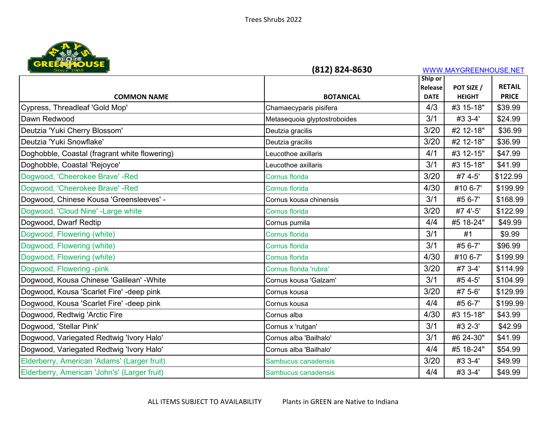

| <b>URERATUDE</b>                              | (812) 824-8630               |             | WWW.MAYGREENHOUSE.NET |               |
|-----------------------------------------------|------------------------------|-------------|-----------------------|---------------|
|                                               |                              | Ship or     |                       |               |
|                                               |                              | Release     | POT SIZE /            | <b>RETAIL</b> |
| <b>COMMON NAME</b>                            | <b>BOTANICAL</b>             | <b>DATE</b> | <b>HEIGHT</b>         | <b>PRICE</b>  |
| Cypress, Threadleaf 'Gold Mop'                | Chamaecyparis pisifera       | 4/3         | #3 15-18"             | \$39.99       |
| Dawn Redwood                                  | Metasequoia glyptostroboides | 3/1         | #3 3-4'               | \$24.99       |
| Deutzia 'Yuki Cherry Blossom'                 | Deutzia gracilis             | 3/20        | #2 12-18"             | \$36.99       |
| Deutzia 'Yuki Snowflake'                      | Deutzia gracilis             | 3/20        | #2 12-18"             | \$36.99       |
| Doghobble, Coastal (fragrant white flowering) | Leucothoe axillaris          | 4/1         | #3 12-15"             | \$47.99       |
| Doghobble, Coastal 'Rejoyce'                  | Leucothoe axillaris          | 3/1         | #3 15-18"             | \$41.99       |
| Dogwood, 'Cheerokee Brave' - Red              | Cornus florida               | 3/20        | #7 4-5'               | \$122.99      |
| Dogwood, 'Cheerokee Brave' - Red              | Cornus florida               | 4/30        | #10 6-7'              | \$199.99      |
| Dogwood, Chinese Kousa 'Greensleeves' -       | Cornus kousa chinensis       | 3/1         | #5 6-7'               | \$168.99      |
| Dogwood, 'Cloud Nine' - Large white           | Cornus florida               | 3/20        | #7 4'-5'              | \$122.99      |
| Dogwood, Dwarf Redtip                         | Cornus pumila                | 4/4         | #5 18-24"             | \$49.99       |
| Dogwood, Flowering (white)                    | Cornus florida               | 3/1         | #1                    | \$9.99        |
| Dogwood, Flowering (white)                    | Cornus florida               | 3/1         | #5 6-7'               | \$96.99       |
| Dogwood, Flowering (white)                    | Cornus florida               | 4/30        | #10 6-7'              | \$199.99      |
| Dogwood, Flowering -pink                      | Cornus florida 'rubra'       | 3/20        | #7 3-4'               | \$114.99      |
| Dogwood, Kousa Chinese 'Galilean' - White     | Cornus kousa 'Galzam'        | 3/1         | #5 4-5'               | \$104.99      |
| Dogwood, Kousa 'Scarlet Fire' -deep pink      | Cornus kousa                 | 3/20        | #7 5-6'               | \$129.99      |
| Dogwood, Kousa 'Scarlet Fire' -deep pink      | Cornus kousa                 | 4/4         | #5 6-7'               | \$199.99      |
| Dogwood, Redtwig 'Arctic Fire                 | Cornus alba                  | 4/30        | #3 15-18"             | \$43.99       |
| Dogwood, 'Stellar Pink'                       | Cornus x 'rutgan'            | 3/1         | #3 2-3'               | \$42.99       |
| Dogwood, Variegated Redtwig 'Ivory Halo'      | Cornus alba 'Bailhalo'       | 3/1         | #6 24-30"             | \$41.99       |
| Dogwood, Variegated Redtwig 'Ivory Halo'      | Cornus alba 'Bailhalo'       | 4/4         | #5 18-24"             | \$54.99       |
| Elderberry, American 'Adams' (Larger fruit)   | Sambucus canadensis          | 3/20        | #3 3-4'               | \$49.99       |
| Elderberry, American 'John's' (Larger fruit)  | Sambucus canadensis          | 4/4         | #3 3-4'               | \$49.99       |
|                                               |                              |             |                       |               |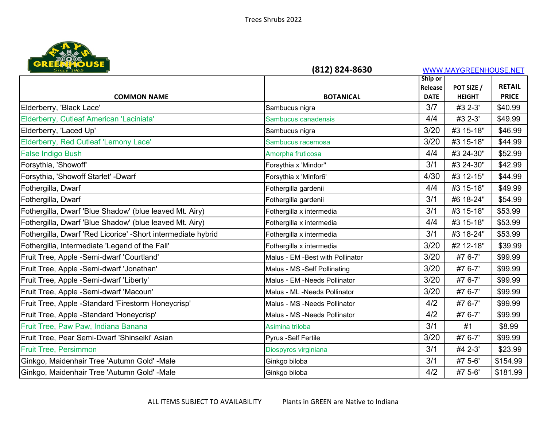

| <b>URE PART DUSE</b>                                          | (812) 824-8630                   |             | WWW.MAYGREENHOUSE.NET |               |
|---------------------------------------------------------------|----------------------------------|-------------|-----------------------|---------------|
|                                                               |                                  | Ship or     |                       |               |
|                                                               |                                  | Release     | POT SIZE /            | <b>RETAIL</b> |
| <b>COMMON NAME</b>                                            | <b>BOTANICAL</b>                 | <b>DATE</b> | <b>HEIGHT</b>         | <b>PRICE</b>  |
| Elderberry, 'Black Lace'                                      | Sambucus nigra                   | 3/7         | #3 2-3'               | \$40.99       |
| Elderberry, Cutleaf American 'Laciniata'                      | Sambucus canadensis              | 4/4         | #3 2-3'               | \$49.99       |
| Elderberry, 'Laced Up'                                        | Sambucus nigra                   | 3/20        | #3 15-18"             | \$46.99       |
| Elderberry, Red Cutleaf 'Lemony Lace'                         | Sambucus racemosa                | 3/20        | #3 15-18"             | \$44.99       |
| <b>False Indigo Bush</b>                                      | Amorpha fruticosa                | 4/4         | #3 24-30"             | \$52.99       |
| Forsythia, 'Showoff'                                          | Forsythia x 'Mindor"             | 3/1         | #3 24-30"             | \$42.99       |
| Forsythia, 'Showoff Starlet' -Dwarf                           | Forsythia x 'Minfor6'            | 4/30        | #3 12-15"             | \$44.99       |
| Fothergilla, Dwarf                                            | Fothergilla gardenii             | 4/4         | #3 15-18"             | \$49.99       |
| Fothergilla, Dwarf                                            | Fothergilla gardenii             | 3/1         | #6 18-24"             | \$54.99       |
| Fothergilla, Dwarf 'Blue Shadow' (blue leaved Mt. Airy)       | Fothergilla x intermedia         | 3/1         | #3 15-18"             | \$53.99       |
| Fothergilla, Dwarf 'Blue Shadow' (blue leaved Mt. Airy)       | Fothergilla x intermedia         | 4/4         | #3 15-18"             | \$53.99       |
| Fothergilla, Dwarf 'Red Licorice' - Short intermediate hybrid | Fothergilla x intermedia         | 3/1         | #3 18-24"             | \$53.99       |
| Fothergilla, Intermediate 'Legend of the Fall'                | Fothergilla x intermedia         | 3/20        | #2 12-18"             | \$39.99       |
| Fruit Tree, Apple -Semi-dwarf 'Courtland'                     | Malus - EM -Best with Pollinator | 3/20        | #7 6-7'               | \$99.99       |
| Fruit Tree, Apple -Semi-dwarf 'Jonathan'                      | Malus - MS -Self Pollinating     | 3/20        | #7 6-7'               | \$99.99       |
| Fruit Tree, Apple -Semi-dwarf 'Liberty'                       | Malus - EM -Needs Pollinator     | 3/20        | #7 6-7'               | \$99.99       |
| Fruit Tree, Apple -Semi-dwarf 'Macoun'                        | Malus - ML -Needs Pollinator     | 3/20        | #7 6-7'               | \$99.99       |
| Fruit Tree, Apple -Standard 'Firestorm Honeycrisp'            | Malus - MS -Needs Pollinator     | 4/2         | #7 6-7'               | \$99.99       |
| Fruit Tree, Apple -Standard 'Honeycrisp'                      | Malus - MS -Needs Pollinator     | 4/2         | #7 6-7'               | \$99.99       |
| Fruit Tree, Paw Paw, Indiana Banana                           | Asimina triloba                  | 3/1         | #1                    | \$8.99        |
| Fruit Tree, Pear Semi-Dwarf 'Shinseiki' Asian                 | Pyrus -Self Fertile              | 3/20        | #7 6-7'               | \$99.99       |
| Fruit Tree, Persimmon                                         | Diospyros virginiana             | 3/1         | #4 2-3'               | \$23.99       |
| Ginkgo, Maidenhair Tree 'Autumn Gold' -Male                   | Ginkgo biloba                    | 3/1         | #7 5-6'               | \$154.99      |
| Ginkgo, Maidenhair Tree 'Autumn Gold' -Male                   | Ginkgo biloba                    | 4/2         | #7 5-6'               | \$181.99      |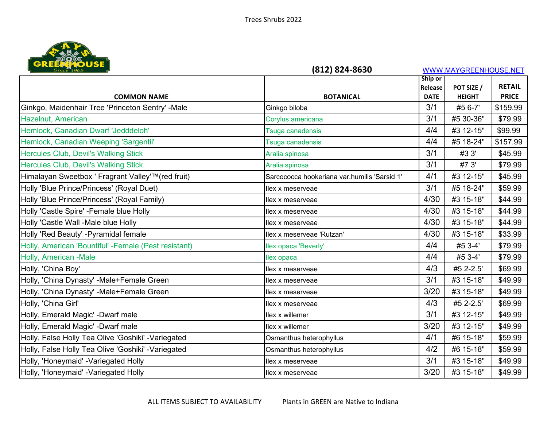

| <b>URELAM ROUSE</b>                                  | (812) 824-8630                               |                        | WWW.MAYGREENHOUSE.NET       |                               |
|------------------------------------------------------|----------------------------------------------|------------------------|-----------------------------|-------------------------------|
|                                                      |                                              | Ship or                |                             |                               |
| <b>COMMON NAME</b>                                   | <b>BOTANICAL</b>                             | Release<br><b>DATE</b> | POT SIZE /<br><b>HEIGHT</b> | <b>RETAIL</b><br><b>PRICE</b> |
| Ginkgo, Maidenhair Tree 'Princeton Sentry' -Male     | Ginkgo biloba                                | 3/1                    | #5 6-7'                     | \$159.99                      |
|                                                      |                                              | 3/1                    |                             |                               |
| Hazelnut, American                                   | Corylus americana                            |                        | #5 30-36"                   | \$79.99                       |
| Hemlock, Canadian Dwarf 'Jedddeloh'                  | Tsuga canadensis                             | 4/4                    | #3 12-15"                   | \$99.99                       |
| Hemlock, Canadian Weeping 'Sargentii'                | Tsuga canadensis                             | 4/4                    | #5 18-24"                   | \$157.99                      |
| <b>Hercules Club, Devil's Walking Stick</b>          | Aralia spinosa                               | 3/1                    | #3 3'                       | \$45.99                       |
| <b>Hercules Club, Devil's Walking Stick</b>          | Aralia spinosa                               | 3/1                    | #7 3'                       | \$79.99                       |
| Himalayan Sweetbox ' Fragrant Valley'™ (red fruit)   | Sarcococca hookeriana var.humilis 'Sarsid 1' | 4/1                    | #3 12-15"                   | \$45.99                       |
| Holly 'Blue Prince/Princess' (Royal Duet)            | llex x meserveae                             | 3/1                    | #5 18-24"                   | \$59.99                       |
| Holly 'Blue Prince/Princess' (Royal Family)          | llex x meserveae                             | 4/30                   | #3 15-18"                   | \$44.99                       |
| Holly 'Castle Spire' - Female blue Holly             | llex x meserveae                             | 4/30                   | #3 15-18"                   | \$44.99                       |
| Holly 'Castle Wall -Male blue Holly                  | llex x meserveae                             | 4/30                   | #3 15-18"                   | \$44.99                       |
| Holly 'Red Beauty' - Pyramidal female                | Ilex x meserveae 'Rutzan'                    | 4/30                   | #3 15-18"                   | \$33.99                       |
| Holly, American 'Bountiful' -Female (Pest resistant) | llex opaca 'Beverly'                         | 4/4                    | #5 3-4'                     | \$79.99                       |
| Holly, American -Male                                | llex opaca                                   | 4/4                    | #5 3-4'                     | \$79.99                       |
| Holly, 'China Boy'                                   | llex x meserveae                             | 4/3                    | #5 2-2.5'                   | \$69.99                       |
| Holly, 'China Dynasty' -Male+Female Green            | llex x meserveae                             | 3/1                    | #3 15-18"                   | \$49.99                       |
| Holly, 'China Dynasty' -Male+Female Green            | llex x meserveae                             | 3/20                   | #3 15-18"                   | \$49.99                       |
| Holly, 'China Girl'                                  | llex x meserveae                             | 4/3                    | #5 2-2.5'                   | \$69.99                       |
| Holly, Emerald Magic' -Dwarf male                    | llex x willemer                              | 3/1                    | #3 12-15"                   | \$49.99                       |
| Holly, Emerald Magic' -Dwarf male                    | Ilex x willemer                              | 3/20                   | #3 12-15"                   | \$49.99                       |
| Holly, False Holly Tea Olive 'Goshiki' - Variegated  | Osmanthus heterophyllus                      | 4/1                    | #6 15-18"                   | \$59.99                       |
| Holly, False Holly Tea Olive 'Goshiki' -Variegated   | Osmanthus heterophyllus                      | 4/2                    | #6 15-18"                   | \$59.99                       |
| Holly, 'Honeymaid' -Variegated Holly                 | llex x meserveae                             | 3/1                    | #3 15-18"                   | \$49.99                       |
| Holly, 'Honeymaid' -Variegated Holly                 | llex x meserveae                             | 3/20                   | #3 15-18"                   | \$49.99                       |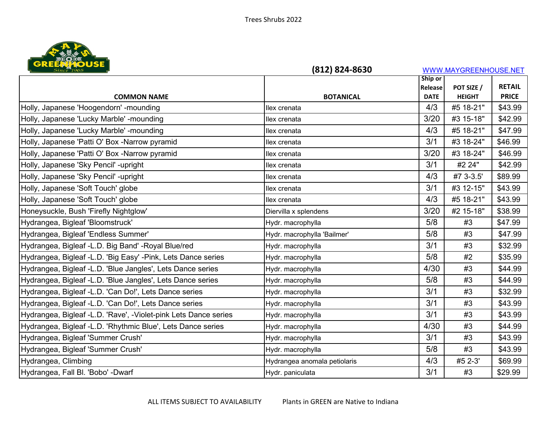

| <b>URELANTOUSE</b>                                              | (812) 824-8630               |             | WWW.MAYGREENHOUSE.NET |               |
|-----------------------------------------------------------------|------------------------------|-------------|-----------------------|---------------|
|                                                                 |                              | Ship or     |                       |               |
|                                                                 |                              | Release     | POT SIZE /            | <b>RETAIL</b> |
| <b>COMMON NAME</b>                                              | <b>BOTANICAL</b>             | <b>DATE</b> | <b>HEIGHT</b>         | <b>PRICE</b>  |
| Holly, Japanese 'Hoogendorn' -mounding                          | llex crenata                 | 4/3         | #5 18-21"             | \$43.99       |
| Holly, Japanese 'Lucky Marble' -mounding                        | llex crenata                 | 3/20        | #3 15-18"             | \$42.99       |
| Holly, Japanese 'Lucky Marble' -mounding                        | llex crenata                 | 4/3         | #5 18-21"             | \$47.99       |
| Holly, Japanese 'Patti O' Box -Narrow pyramid                   | llex crenata                 | 3/1         | #3 18-24"             | \$46.99       |
| Holly, Japanese 'Patti O' Box -Narrow pyramid                   | llex crenata                 | 3/20        | #3 18-24"             | \$46.99       |
| Holly, Japanese 'Sky Pencil' -upright                           | llex crenata                 | 3/1         | #2 24"                | \$42.99       |
| Holly, Japanese 'Sky Pencil' -upright                           | llex crenata                 | 4/3         | #7 3-3.5'             | \$89.99       |
| Holly, Japanese 'Soft Touch' globe                              | llex crenata                 | 3/1         | #3 12-15"             | \$43.99       |
| Holly, Japanese 'Soft Touch' globe                              | llex crenata                 | 4/3         | #5 18-21"             | \$43.99       |
| Honeysuckle, Bush 'Firefly Nightglow'                           | Diervilla x splendens        | 3/20        | #2 15-18"             | \$38.99       |
| Hydrangea, Bigleaf 'Bloomstruck'                                | Hydr. macrophylla            | 5/8         | #3                    | \$47.99       |
| Hydrangea, Bigleaf 'Endless Summer'                             | Hydr. macrophylla 'Bailmer'  | 5/8         | #3                    | \$47.99       |
| Hydrangea, Bigleaf -L.D. Big Band' -Royal Blue/red              | Hydr. macrophylla            | 3/1         | #3                    | \$32.99       |
| Hydrangea, Bigleaf -L.D. 'Big Easy' -Pink, Lets Dance series    | Hydr. macrophylla            | 5/8         | #2                    | \$35.99       |
| Hydrangea, Bigleaf -L.D. 'Blue Jangles', Lets Dance series      | Hydr. macrophylla            | 4/30        | #3                    | \$44.99       |
| Hydrangea, Bigleaf -L.D. 'Blue Jangles', Lets Dance series      | Hydr. macrophylla            | 5/8         | #3                    | \$44.99       |
| Hydrangea, Bigleaf -L.D. 'Can Do!', Lets Dance series           | Hydr. macrophylla            | 3/1         | #3                    | \$32.99       |
| Hydrangea, Bigleaf -L.D. 'Can Do!', Lets Dance series           | Hydr. macrophylla            | 3/1         | #3                    | \$43.99       |
| Hydrangea, Bigleaf -L.D. 'Rave', -Violet-pink Lets Dance series | Hydr. macrophylla            | 3/1         | #3                    | \$43.99       |
| Hydrangea, Bigleaf -L.D. 'Rhythmic Blue', Lets Dance series     | Hydr. macrophylla            | 4/30        | #3                    | \$44.99       |
| Hydrangea, Bigleaf 'Summer Crush'                               | Hydr. macrophylla            | 3/1         | #3                    | \$43.99       |
| Hydrangea, Bigleaf 'Summer Crush'                               | Hydr. macrophylla            | 5/8         | #3                    | \$43.99       |
| Hydrangea, Climbing                                             | Hydrangea anomala petiolaris | 4/3         | #5 2-3'               | \$69.99       |
| Hydrangea, Fall Bl. 'Bobo' - Dwarf                              | Hydr. paniculata             | 3/1         | #3                    | \$29.99       |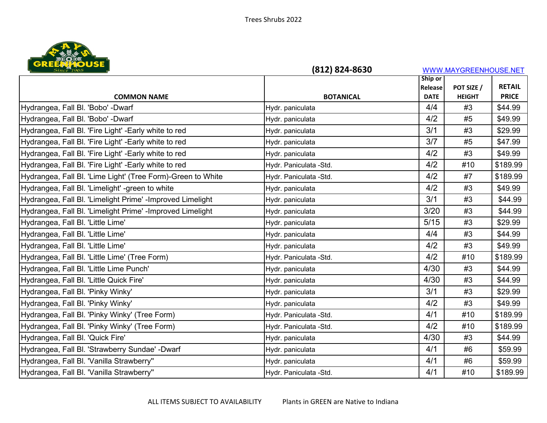

| Since 1965                                                  | (812) 824-8630          |             | WWW.MAYGREENHOUSE.NET |               |
|-------------------------------------------------------------|-------------------------|-------------|-----------------------|---------------|
|                                                             |                         | Ship or     |                       |               |
|                                                             |                         | Release     | POT SIZE /            | <b>RETAIL</b> |
| <b>COMMON NAME</b>                                          | <b>BOTANICAL</b>        | <b>DATE</b> | <b>HEIGHT</b>         | <b>PRICE</b>  |
| Hydrangea, Fall Bl. 'Bobo' - Dwarf                          | Hydr. paniculata        | 4/4         | #3                    | \$44.99       |
| Hydrangea, Fall Bl. 'Bobo' - Dwarf                          | Hydr. paniculata        | 4/2         | #5                    | \$49.99       |
| Hydrangea, Fall Bl. 'Fire Light' - Early white to red       | Hydr. paniculata        | 3/1         | #3                    | \$29.99       |
| Hydrangea, Fall Bl. 'Fire Light' - Early white to red       | Hydr. paniculata        | 3/7         | #5                    | \$47.99       |
| Hydrangea, Fall Bl. 'Fire Light' - Early white to red       | Hydr. paniculata        | 4/2         | #3                    | \$49.99       |
| Hydrangea, Fall Bl. 'Fire Light' - Early white to red       | Hydr. Paniculata -Std.  | 4/2         | #10                   | \$189.99      |
| Hydrangea, Fall Bl. 'Lime Light' (Tree Form)-Green to White | Hydr. Paniculata -Std.  | 4/2         | #7                    | \$189.99      |
| Hydrangea, Fall Bl. 'Limelight' -green to white             | Hydr. paniculata        | 4/2         | #3                    | \$49.99       |
| Hydrangea, Fall Bl. 'Limelight Prime' - Improved Limelight  | Hydr. paniculata        | 3/1         | #3                    | \$44.99       |
| Hydrangea, Fall Bl. 'Limelight Prime' - Improved Limelight  | Hydr. paniculata        | 3/20        | #3                    | \$44.99       |
| Hydrangea, Fall Bl. 'Little Lime'                           | Hydr. paniculata        | $5/15$      | #3                    | \$29.99       |
| Hydrangea, Fall Bl. 'Little Lime'                           | Hydr. paniculata        | 4/4         | #3                    | \$44.99       |
| Hydrangea, Fall Bl. 'Little Lime'                           | Hydr. paniculata        | 4/2         | #3                    | \$49.99       |
| Hydrangea, Fall Bl. 'Little Lime' (Tree Form)               | Hydr. Paniculata - Std. | 4/2         | #10                   | \$189.99      |
| Hydrangea, Fall Bl. 'Little Lime Punch'                     | Hydr. paniculata        | 4/30        | #3                    | \$44.99       |
| Hydrangea, Fall Bl. 'Little Quick Fire'                     | Hydr. paniculata        | 4/30        | #3                    | \$44.99       |
| Hydrangea, Fall Bl. 'Pinky Winky'                           | Hydr. paniculata        | 3/1         | #3                    | \$29.99       |
| Hydrangea, Fall Bl. 'Pinky Winky'                           | Hydr. paniculata        | 4/2         | #3                    | \$49.99       |
| Hydrangea, Fall Bl. 'Pinky Winky' (Tree Form)               | Hydr. Paniculata -Std.  | 4/1         | #10                   | \$189.99      |
| Hydrangea, Fall Bl. 'Pinky Winky' (Tree Form)               | Hydr. Paniculata -Std.  | 4/2         | #10                   | \$189.99      |
| Hydrangea, Fall Bl. 'Quick Fire'                            | Hydr. paniculata        | 4/30        | #3                    | \$44.99       |
| Hydrangea, Fall Bl. 'Strawberry Sundae' -Dwarf              | Hydr. paniculata        | 4/1         | #6                    | \$59.99       |
| Hydrangea, Fall Bl. 'Vanilla Strawberry"                    | Hydr. paniculata        | 4/1         | #6                    | \$59.99       |
| Hydrangea, Fall Bl. 'Vanilla Strawberry''                   | Hydr. Paniculata -Std.  | 4/1         | #10                   | \$189.99      |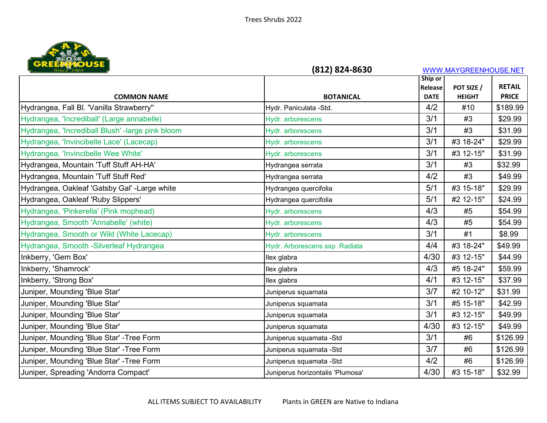

| <b>URE PART DUSE</b>                             | (812) 824-8630                   |                        | WWW.MAYGREENHOUSE.NET       |                               |
|--------------------------------------------------|----------------------------------|------------------------|-----------------------------|-------------------------------|
|                                                  |                                  | Ship or                |                             |                               |
| <b>COMMON NAME</b>                               | <b>BOTANICAL</b>                 | Release<br><b>DATE</b> | POT SIZE /<br><b>HEIGHT</b> | <b>RETAIL</b><br><b>PRICE</b> |
|                                                  |                                  | 4/2                    |                             |                               |
| Hydrangea, Fall Bl. 'Vanilla Strawberry''        | Hydr. Paniculata -Std.           |                        | #10                         | \$189.99                      |
| Hydrangea, 'Incrediball' (Large annabelle)       | Hydr. arborescens                | 3/1                    | #3                          | \$29.99                       |
| Hydrangea, 'Incrediball Blush' -large pink bloom | Hydr. arborescens                | 3/1                    | #3                          | \$31.99                       |
| Hydrangea, 'Invincibelle Lace' (Lacecap)         | Hydr. arborescens                | 3/1                    | #3 18-24"                   | \$29.99                       |
| Hydrangea, 'Invincibelle Wee White'              | Hydr. arborescens                | 3/1                    | #3 12-15"                   | \$31.99                       |
| Hydrangea, Mountain 'Tuff Stuff AH-HA'           | Hydrangea serrata                | 3/1                    | #3                          | \$32.99                       |
| Hydrangea, Mountain 'Tuff Stuff Red'             | Hydrangea serrata                | 4/2                    | #3                          | \$49.99                       |
| Hydrangea, Oakleaf 'Gatsby Gal' -Large white     | Hydrangea quercifolia            | 5/1                    | #3 15-18"                   | \$29.99                       |
| Hydrangea, Oakleaf 'Ruby Slippers'               | Hydrangea quercifolia            | 5/1                    | #2 12-15"                   | \$24.99                       |
| Hydrangea, 'Pinkerella' (Pink mophead)           | Hydr. arborescens                | 4/3                    | #5                          | \$54.99                       |
| Hydrangea, Smooth 'Annabelle' (white)            | Hydr. arborescens                | 4/3                    | #5                          | \$54.99                       |
| Hydrangea, Smooth or Wild (White Lacecap)        | Hydr. arborescens                | 3/1                    | #1                          | \$8.99                        |
| Hydrangea, Smooth -Silverleaf Hydrangea          | Hydr. Arborescens ssp. Radiata   | 4/4                    | #3 18-24"                   | \$49.99                       |
| Inkberry, 'Gem Box'                              | llex glabra                      | 4/30                   | #3 12-15"                   | \$44.99                       |
| Inkberry, 'Shamrock'                             | llex glabra                      | 4/3                    | #5 18-24"                   | \$59.99                       |
| Inkberry, 'Strong Box'                           | llex glabra                      | 4/1                    | #3 12-15"                   | \$37.99                       |
| Juniper, Mounding 'Blue Star'                    | Juniperus squamata               | 3/7                    | #2 10-12"                   | \$31.99                       |
| Juniper, Mounding 'Blue Star'                    | Juniperus squamata               | 3/1                    | #5 15-18"                   | \$42.99                       |
| Juniper, Mounding 'Blue Star'                    | Juniperus squamata               | 3/1                    | #3 12-15"                   | \$49.99                       |
| Juniper, Mounding 'Blue Star'                    | Juniperus squamata               | 4/30                   | #3 12-15"                   | \$49.99                       |
| Juniper, Mounding 'Blue Star' - Tree Form        | Juniperus squamata -Std          | 3/1                    | #6                          | \$126.99                      |
| Juniper, Mounding 'Blue Star' - Tree Form        | Juniperus squamata -Std          | 3/7                    | #6                          | \$126.99                      |
| Juniper, Mounding 'Blue Star' - Tree Form        | Juniperus squamata -Std          | 4/2                    | #6                          | \$126.99                      |
| Juniper, Spreading 'Andorra Compact'             | Juniperus horizontalis 'Plumosa' | 4/30                   | #3 15-18"                   | \$32.99                       |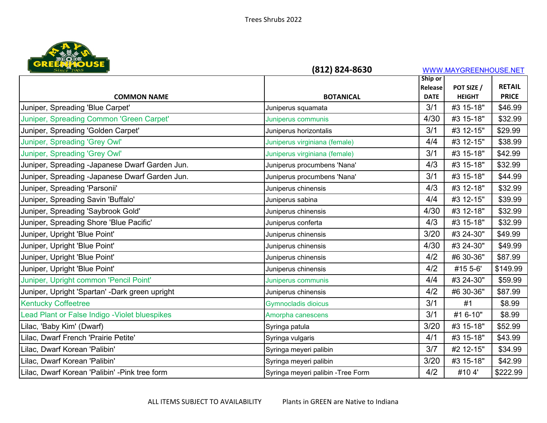

| <b>URERAN DUSE</b>                             | (812) 824-8630                     |             | WWW.MAYGREENHOUSE.NET |               |
|------------------------------------------------|------------------------------------|-------------|-----------------------|---------------|
|                                                |                                    | Ship or     |                       |               |
|                                                |                                    | Release     | POT SIZE /            | <b>RETAIL</b> |
| <b>COMMON NAME</b>                             | <b>BOTANICAL</b>                   | <b>DATE</b> | <b>HEIGHT</b>         | <b>PRICE</b>  |
| Juniper, Spreading 'Blue Carpet'               | Juniperus squamata                 | 3/1         | #3 15-18"             | \$46.99       |
| Juniper, Spreading Common 'Green Carpet'       | Juniperus communis                 | 4/30        | #3 15-18"             | \$32.99       |
| Juniper, Spreading 'Golden Carpet'             | Juniperus horizontalis             | 3/1         | #3 12-15"             | \$29.99       |
| Juniper, Spreading 'Grey Owl'                  | Juniperus virginiana (female)      | 4/4         | #3 12-15"             | \$38.99       |
| Juniper, Spreading 'Grey Owl'                  | Juniperus virginiana (female)      | 3/1         | #3 15-18"             | \$42.99       |
| Juniper, Spreading -Japanese Dwarf Garden Jun. | Juniperus procumbens 'Nana'        | 4/3         | #3 15-18"             | \$32.99       |
| Juniper, Spreading -Japanese Dwarf Garden Jun. | Juniperus procumbens 'Nana'        | 3/1         | #3 15-18"             | \$44.99       |
| Juniper, Spreading 'Parsonii'                  | Juniperus chinensis                | 4/3         | #3 12-18"             | \$32.99       |
| Juniper, Spreading Savin 'Buffalo'             | Juniperus sabina                   | 4/4         | #3 12-15"             | \$39.99       |
| Juniper, Spreading 'Saybrook Gold'             | Juniperus chinensis                | 4/30        | #3 12-18"             | \$32.99       |
| Juniper, Spreading Shore 'Blue Pacific'        | Juniperus conferta                 | 4/3         | #3 15-18"             | \$32.99       |
| Juniper, Upright 'Blue Point'                  | Juniperus chinensis                | 3/20        | #3 24-30"             | \$49.99       |
| Juniper, Upright 'Blue Point'                  | Juniperus chinensis                | 4/30        | #3 24-30"             | \$49.99       |
| Juniper, Upright 'Blue Point'                  | Juniperus chinensis                | 4/2         | #6 30-36"             | \$87.99       |
| Juniper, Upright 'Blue Point'                  | Juniperus chinensis                | 4/2         | #15 5-6'              | \$149.99      |
| Juniper, Upright common 'Pencil Point'         | Juniperus communis                 | 4/4         | #3 24-30"             | \$59.99       |
| Juniper, Upright 'Spartan' -Dark green upright | Juniperus chinensis                | 4/2         | #6 30-36"             | \$87.99       |
| <b>Kentucky Coffeetree</b>                     | <b>Gymnocladis dioicus</b>         | 3/1         | #1                    | \$8.99        |
| ead Plant or False Indigo - Violet bluespikes  | Amorpha canescens                  | 3/1         | #1 6-10"              | \$8.99        |
| Lilac, 'Baby Kim' (Dwarf)                      | Syringa patula                     | 3/20        | #3 15-18"             | \$52.99       |
| Lilac, Dwarf French 'Prairie Petite'           | Syringa vulgaris                   | 4/1         | #3 15-18"             | \$43.99       |
| Lilac, Dwarf Korean 'Palibin'                  | Syringa meyeri palibin             | 3/7         | #2 12-15"             | \$34.99       |
| Lilac, Dwarf Korean 'Palibin'                  | Syringa meyeri palibin             | 3/20        | #3 15-18"             | \$42.99       |
| Lilac, Dwarf Korean 'Palibin' -Pink tree form  | Syringa meyeri palibin - Tree Form | 4/2         | #104'                 | \$222.99      |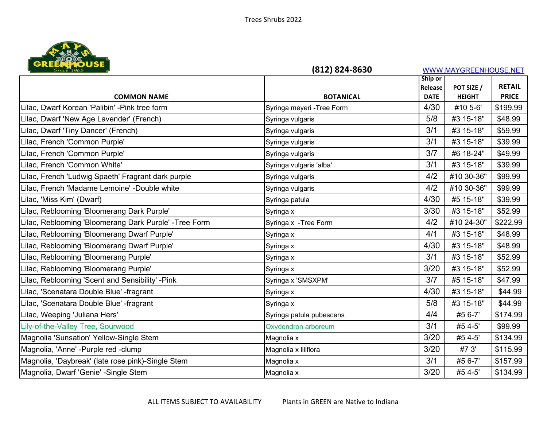

| <b>Since 1965</b>                                     | (812) 824-8630             |                        | WWW.MAYGREENHOUSE.NET       |                               |
|-------------------------------------------------------|----------------------------|------------------------|-----------------------------|-------------------------------|
|                                                       |                            | Ship or                |                             |                               |
| <b>COMMON NAME</b>                                    | <b>BOTANICAL</b>           | Release<br><b>DATE</b> | POT SIZE /<br><b>HEIGHT</b> | <b>RETAIL</b><br><b>PRICE</b> |
| Lilac, Dwarf Korean 'Palibin' -Pink tree form         | Syringa meyeri - Tree Form | 4/30                   | #10 5-6'                    | \$199.99                      |
| Lilac, Dwarf 'New Age Lavender' (French)              | Syringa vulgaris           | 5/8                    | #3 15-18"                   | \$48.99                       |
| Lilac, Dwarf 'Tiny Dancer' (French)                   | Syringa vulgaris           | 3/1                    | #3 15-18"                   | \$59.99                       |
| Lilac, French 'Common Purple'                         | Syringa vulgaris           | 3/1                    | #3 15-18"                   | \$39.99                       |
| Lilac, French 'Common Purple'                         | Syringa vulgaris           | 3/7                    | #6 18-24"                   | \$49.99                       |
| Lilac, French 'Common White'                          | Syringa vulgaris 'alba'    | 3/1                    | #3 15-18"                   | \$39.99                       |
| Lilac, French 'Ludwig Spaeth' Fragrant dark purple    | Syringa vulgaris           | 4/2                    | #10 30-36"                  | \$99.99                       |
| Lilac, French 'Madame Lemoine' -Double white          | Syringa vulgaris           | 4/2                    | #10 30-36"                  | \$99.99                       |
| Lilac, 'Miss Kim' (Dwarf)                             | Syringa patula             | 4/30                   | #5 15-18"                   | \$39.99                       |
| Lilac, Reblooming 'Bloomerang Dark Purple'            | Syringa x                  | 3/30                   | #3 15-18"                   | \$52.99                       |
| Lilac, Reblooming 'Bloomerang Dark Purple' -Tree Form | Syringa x - Tree Form      | 4/2                    | #10 24-30"                  | \$222.99                      |
| Lilac, Reblooming 'Bloomerang Dwarf Purple'           | Syringa x                  | 4/1                    | #3 15-18"                   | \$48.99                       |
| Lilac, Reblooming 'Bloomerang Dwarf Purple'           | Syringa x                  | 4/30                   | #3 15-18"                   | \$48.99                       |
| Lilac, Reblooming 'Bloomerang Purple'                 | Syringa x                  | 3/1                    | #3 15-18"                   | \$52.99                       |
| Lilac, Reblooming 'Bloomerang Purple'                 | Syringa x                  | 3/20                   | #3 15-18"                   | \$52.99                       |
| Lilac, Reblooming 'Scent and Sensibility' -Pink       | Syringa x 'SMSXPM'         | 3/7                    | #5 15-18"                   | \$47.99                       |
| Lilac, 'Scenatara Double Blue' -fragrant              | Syringa x                  | 4/30                   | #3 15-18"                   | \$44.99                       |
| Lilac, 'Scenatara Double Blue' -fragrant              | Syringa x                  | 5/8                    | #3 15-18"                   | \$44.99                       |
| Lilac, Weeping 'Juliana Hers'                         | Syringa patula pubescens   | 4/4                    | #5 6-7'                     | \$174.99                      |
| Lily-of-the-Valley Tree, Sourwood                     | Oxydendron arboreum        | 3/1                    | #5 4-5'                     | \$99.99                       |
| Magnolia 'Sunsation' Yellow-Single Stem               | Magnolia x                 | 3/20                   | #5 4-5'                     | \$134.99                      |
| Magnolia, 'Anne' -Purple red -clump                   | Magnolia x liliflora       | 3/20                   | #7 3'                       | \$115.99                      |
| Magnolia, 'Daybreak' (late rose pink)-Single Stem     | Magnolia x                 | 3/1                    | #5 6-7'                     | \$157.99                      |
| Magnolia, Dwarf 'Genie' - Single Stem                 | Magnolia x                 | 3/20                   | #5 4-5'                     | \$134.99                      |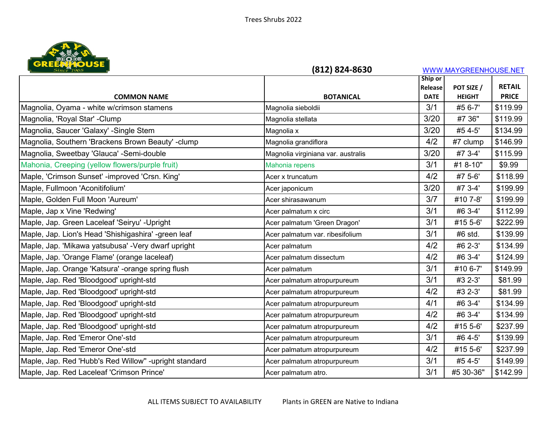

| <b>URE PART DUSE</b>                                  | (812) 824-8630                     |             | WWW.MAYGREENHOUSE.NET |               |
|-------------------------------------------------------|------------------------------------|-------------|-----------------------|---------------|
|                                                       |                                    | Ship or     |                       |               |
|                                                       |                                    | Release     | POT SIZE /            | <b>RETAIL</b> |
| <b>COMMON NAME</b>                                    | <b>BOTANICAL</b>                   | <b>DATE</b> | <b>HEIGHT</b>         | <b>PRICE</b>  |
| Magnolia, Oyama - white w/crimson stamens             | Magnolia sieboldii                 | 3/1         | #5 6-7'               | \$119.99      |
| Magnolia, 'Royal Star' - Clump                        | Magnolia stellata                  | 3/20        | #7 36"                | \$119.99      |
| Magnolia, Saucer 'Galaxy' -Single Stem                | Magnolia x                         | 3/20        | #5 4-5'               | \$134.99      |
| Magnolia, Southern 'Brackens Brown Beauty' -clump     | Magnolia grandiflora               | 4/2         | #7 clump              | \$146.99      |
| Magnolia, Sweetbay 'Glauca' -Semi-double              | Magnolia virginiana var. australis | 3/20        | #7 3-4'               | \$115.99      |
| Mahonia, Creeping (yellow flowers/purple fruit)       | Mahonia repens                     | 3/1         | #1 8-10"              | \$9.99        |
| Maple, 'Crimson Sunset' -improved 'Crsn. King'        | Acer x truncatum                   | 4/2         | #7 5-6'               | \$118.99      |
| Maple, Fullmoon 'Aconitifolium'                       | Acer japonicum                     | 3/20        | #7 3-4'               | \$199.99      |
| Maple, Golden Full Moon 'Aureum'                      | Acer shirasawanum                  | 3/7         | #10 7-8'              | \$199.99      |
| Maple, Jap x Vine 'Redwing'                           | Acer palmatum x circ               | 3/1         | #6 3-4'               | \$112.99      |
| Maple, Jap. Green Laceleaf 'Seiryu' - Upright         | Acer palmatum 'Green Dragon'       | 3/1         | #15 5-6'              | \$222.99      |
| Maple, Jap. Lion's Head 'Shishigashira' -green leaf   | Acer palmatum var. ribesifolium    | 3/1         | #6 std.               | \$139.99      |
| Maple, Jap. 'Mikawa yatsubusa' - Very dwarf upright   | Acer palmatum                      | 4/2         | #6 2-3'               | \$134.99      |
| Maple, Jap. 'Orange Flame' (orange laceleaf)          | Acer palmatum dissectum            | 4/2         | #6 3-4'               | \$124.99      |
| Maple, Jap. Orange 'Katsura' -orange spring flush     | Acer palmatum                      | 3/1         | #10 6-7'              | \$149.99      |
| Maple, Jap. Red 'Bloodgood' upright-std               | Acer palmatum atropurpureum        | 3/1         | #3 2-3'               | \$81.99       |
| Maple, Jap. Red 'Bloodgood' upright-std               | Acer palmatum atropurpureum        | 4/2         | #3 2-3'               | \$81.99       |
| Maple, Jap. Red 'Bloodgood' upright-std               | Acer palmatum atropurpureum        | 4/1         | #6 3-4'               | \$134.99      |
| Maple, Jap. Red 'Bloodgood' upright-std               | Acer palmatum atropurpureum        | 4/2         | #6 3-4'               | \$134.99      |
| Maple, Jap. Red 'Bloodgood' upright-std               | Acer palmatum atropurpureum        | 4/2         | #15 5-6'              | \$237.99      |
| Maple, Jap. Red 'Emeror One'-std                      | Acer palmatum atropurpureum        | 3/1         | #6 4-5'               | \$139.99      |
| Maple, Jap. Red 'Emeror One'-std                      | Acer palmatum atropurpureum        | 4/2         | #15 5-6'              | \$237.99      |
| Maple, Jap. Red 'Hubb's Red Willow" -upright standard | Acer palmatum atropurpureum        | 3/1         | #5 4-5'               | \$149.99      |
| Maple, Jap. Red Laceleaf 'Crimson Prince'             | Acer palmatum atro.                | 3/1         | #5 30-36"             | \$142.99      |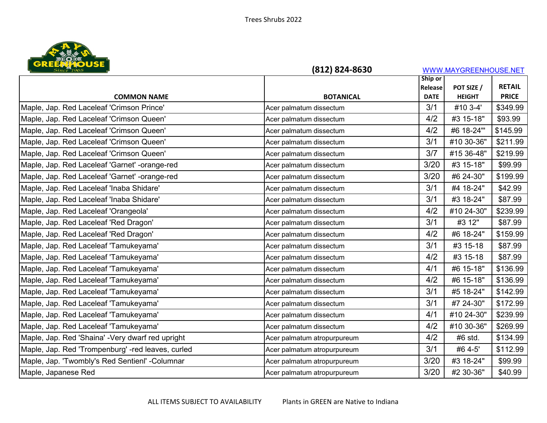

| Since 1965                                        | (812) 824-8630              |             |               | WWW.MAYGREENHOUSE.NET |  |  |
|---------------------------------------------------|-----------------------------|-------------|---------------|-----------------------|--|--|
|                                                   |                             | Ship or     |               |                       |  |  |
|                                                   |                             | Release     | POT SIZE /    | <b>RETAIL</b>         |  |  |
| <b>COMMON NAME</b>                                | <b>BOTANICAL</b>            | <b>DATE</b> | <b>HEIGHT</b> | <b>PRICE</b>          |  |  |
| Maple, Jap. Red Laceleaf 'Crimson Prince'         | Acer palmatum dissectum     | 3/1         | #10 3-4'      | \$349.99              |  |  |
| Maple, Jap. Red Laceleaf 'Crimson Queen'          | Acer palmatum dissectum     | 4/2         | #3 15-18"     | \$93.99               |  |  |
| Maple, Jap. Red Laceleaf 'Crimson Queen'          | Acer palmatum dissectum     | 4/2         | #6 18-24"     | \$145.99              |  |  |
| Maple, Jap. Red Laceleaf 'Crimson Queen'          | Acer palmatum dissectum     | 3/1         | #10 30-36"    | \$211.99              |  |  |
| Maple, Jap. Red Laceleaf 'Crimson Queen'          | Acer palmatum dissectum     | 3/7         | #15 36-48"    | \$219.99              |  |  |
| Maple, Jap. Red Laceleaf 'Garnet' -orange-red     | Acer palmatum dissectum     | 3/20        | #3 15-18"     | \$99.99               |  |  |
| Maple, Jap. Red Laceleaf 'Garnet' -orange-red     | Acer palmatum dissectum     | 3/20        | #6 24-30"     | \$199.99              |  |  |
| Maple, Jap. Red Laceleaf 'Inaba Shidare'          | Acer palmatum dissectum     | 3/1         | #4 18-24"     | \$42.99               |  |  |
| Maple, Jap. Red Laceleaf 'Inaba Shidare'          | Acer palmatum dissectum     | 3/1         | #3 18-24"     | \$87.99               |  |  |
| Maple, Jap. Red Laceleaf 'Orangeola'              | Acer palmatum dissectum     | 4/2         | #10 24-30"    | \$239.99              |  |  |
| Maple, Jap. Red Laceleaf 'Red Dragon'             | Acer palmatum dissectum     | 3/1         | #3 12"        | \$87.99               |  |  |
| Maple, Jap. Red Laceleaf 'Red Dragon'             | Acer palmatum dissectum     | 4/2         | #6 18-24"     | \$159.99              |  |  |
| Maple, Jap. Red Laceleaf 'Tamukeyama'             | Acer palmatum dissectum     | 3/1         | #3 15-18      | \$87.99               |  |  |
| Maple, Jap. Red Laceleaf 'Tamukeyama'             | Acer palmatum dissectum     | 4/2         | #3 15-18      | \$87.99               |  |  |
| Maple, Jap. Red Laceleaf 'Tamukeyama'             | Acer palmatum dissectum     | 4/1         | #6 15-18"     | \$136.99              |  |  |
| Maple, Jap. Red Laceleaf 'Tamukeyama'             | Acer palmatum dissectum     | 4/2         | #6 15-18"     | \$136.99              |  |  |
| Maple, Jap. Red Laceleaf 'Tamukeyama'             | Acer palmatum dissectum     | 3/1         | #5 18-24"     | \$142.99              |  |  |
| Maple, Jap. Red Laceleaf 'Tamukeyama'             | Acer palmatum dissectum     | 3/1         | #7 24-30"     | \$172.99              |  |  |
| Maple, Jap. Red Laceleaf 'Tamukeyama'             | Acer palmatum dissectum     | 4/1         | #10 24-30"    | \$239.99              |  |  |
| Maple, Jap. Red Laceleaf 'Tamukeyama'             | Acer palmatum dissectum     | 4/2         | #10 30-36"    | \$269.99              |  |  |
| Maple, Jap. Red 'Shaina' - Very dwarf red upright | Acer palmatum atropurpureum | 4/2         | #6 std.       | \$134.99              |  |  |
| Maple, Jap. Red 'Trompenburg' -red leaves, curled | Acer palmatum atropurpureum | 3/1         | #6 4-5'       | \$112.99              |  |  |
| Maple, Jap. 'Twombly's Red Sentienl' - Columnar   | Acer palmatum atropurpureum | 3/20        | #3 18-24"     | \$99.99               |  |  |
| Maple, Japanese Red                               | Acer palmatum atropurpureum | 3/20        | #2 30-36"     | \$40.99               |  |  |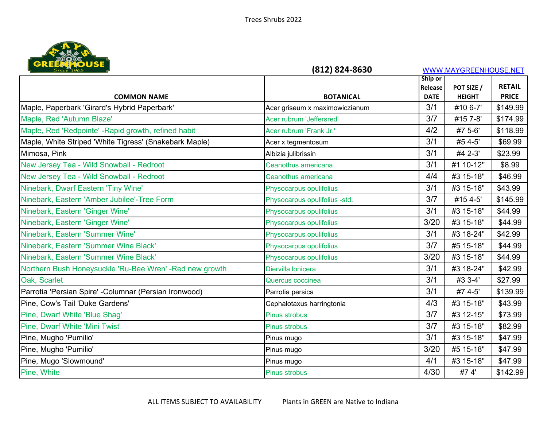

| <b>URE BENEVISE</b>                                     | (812) 824-8630                 |                        | WWW.MAYGREENHOUSE.NET       |               |
|---------------------------------------------------------|--------------------------------|------------------------|-----------------------------|---------------|
|                                                         |                                | Ship or                |                             | <b>RETAIL</b> |
| <b>COMMON NAME</b>                                      | <b>BOTANICAL</b>               | Release<br><b>DATE</b> | POT SIZE /<br><b>HEIGHT</b> | <b>PRICE</b>  |
| Maple, Paperbark 'Girard's Hybrid Paperbark'            | Acer griseum x maximowiczianum | 3/1                    | #10 6-7'                    | \$149.99      |
| Maple, Red 'Autumn Blaze'                               | Acer rubrum 'Jeffersred'       | 3/7                    | #15 7-8'                    | \$174.99      |
| Maple, Red 'Redpointe' - Rapid growth, refined habit    | Acer rubrum 'Frank Jr.'        | 4/2                    | #7 5-6'                     | \$118.99      |
| Maple, White Striped 'White Tigress' (Snakebark Maple)  | Acer x tegmentosum             | 3/1                    | #5 4-5'                     | \$69.99       |
| Mimosa, Pink                                            | Albizia julibrissin            | 3/1                    | #4 2-3'                     | \$23.99       |
| New Jersey Tea - Wild Snowball - Redroot                | Ceanothus americana            | 3/1                    | #1 10-12"                   | \$8.99        |
| New Jersey Tea - Wild Snowball - Redroot                | Ceanothus americana            | 4/4                    | #3 15-18"                   | \$46.99       |
| Ninebark, Dwarf Eastern 'Tiny Wine'                     | Physocarpus opulifolius        | 3/1                    | #3 15-18"                   | \$43.99       |
| Ninebark, Eastern 'Amber Jubilee'-Tree Form             | Physocarpus opulifolius -std.  | 3/7                    | #15 4-5'                    | \$145.99      |
| Ninebark, Eastern 'Ginger Wine'                         | Physocarpus opulifolius        | 3/1                    | #3 15-18"                   | \$44.99       |
| Ninebark, Eastern 'Ginger Wine'                         | Physocarpus opulifolius        | 3/20                   | #3 15-18"                   | \$44.99       |
| Ninebark, Eastern 'Summer Wine'                         | Physocarpus opulifolius        | 3/1                    | #3 18-24"                   | \$42.99       |
| Ninebark, Eastern 'Summer Wine Black'                   | Physocarpus opulifolius        | 3/7                    | #5 15-18"                   | \$44.99       |
| Ninebark, Eastern 'Summer Wine Black'                   | Physocarpus opulifolius        | 3/20                   | #3 15-18"                   | \$44.99       |
| Northern Bush Honeysuckle 'Ru-Bee Wren' -Red new growth | Diervilla lonicera             | 3/1                    | #3 18-24"                   | \$42.99       |
| Oak, Scarlet                                            | Quercus coccinea               | 3/1                    | #3 3-4'                     | \$27.99       |
| Parrotia 'Persian Spire' - Columnar (Persian Ironwood)  | Parrotia persica               | 3/1                    | #7 4-5'                     | \$139.99      |
| Pine, Cow's Tail 'Duke Gardens'                         | Cephalotaxus harringtonia      | 4/3                    | #3 15-18"                   | \$43.99       |
| Pine, Dwarf White 'Blue Shag'                           | Pinus strobus                  | 3/7                    | #3 12-15"                   | \$73.99       |
| Pine, Dwarf White 'Mini Twist'                          | Pinus strobus                  | 3/7                    | #3 15-18"                   | \$82.99       |
| Pine, Mugho 'Pumilio'                                   | Pinus mugo                     | 3/1                    | #3 15-18"                   | \$47.99       |
| Pine, Mugho 'Pumilio'                                   | Pinus mugo                     | 3/20                   | #5 15-18"                   | \$47.99       |
| Pine, Mugo 'Slowmound'                                  | Pinus mugo                     | 4/1                    | #3 15-18"                   | \$47.99       |
| Pine, White                                             | Pinus strobus                  | 4/30                   | #74'                        | \$142.99      |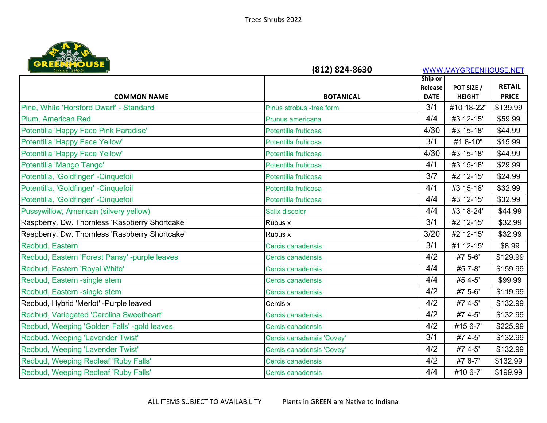

| <b>URE PART DUSE</b>                           | (812) 824-8630            |                    | WWW.MAYGREENHOUSE.NET |                               |
|------------------------------------------------|---------------------------|--------------------|-----------------------|-------------------------------|
|                                                |                           | Ship or            |                       |                               |
|                                                | <b>BOTANICAL</b>          | Release            | POT SIZE /            | <b>RETAIL</b><br><b>PRICE</b> |
| <b>COMMON NAME</b>                             |                           | <b>DATE</b><br>3/1 | <b>HEIGHT</b>         |                               |
| Pine, White 'Horsford Dwarf' - Standard        | Pinus strobus -tree form  |                    | #10 18-22"            | \$139.99                      |
| Plum, American Red                             | Prunus americana          | 4/4                | #3 12-15"             | \$59.99                       |
| Potentilla 'Happy Face Pink Paradise'          | Potentilla fruticosa      | 4/30               | #3 15-18"             | \$44.99                       |
| Potentilla 'Happy Face Yellow'                 | Potentilla fruticosa      | 3/1                | #1 8-10"              | \$15.99                       |
| Potentilla 'Happy Face Yellow'                 | Potentilla fruticosa      | 4/30               | #3 15-18"             | \$44.99                       |
| Potentilla 'Mango Tango'                       | Potentilla fruticosa      | 4/1                | #3 15-18"             | \$29.99                       |
| Potentilla, 'Goldfinger' -Cinquefoil           | Potentilla fruticosa      | 3/7                | #2 12-15"             | \$24.99                       |
| Potentilla, 'Goldfinger' -Cinquefoil           | Potentilla fruticosa      | 4/1                | #3 15-18"             | \$32.99                       |
| Potentilla, 'Goldfinger' -Cinquefoil           | Potentilla fruticosa      | 4/4                | #3 12-15"             | \$32.99                       |
| Pussywillow, American (silvery yellow)         | Salix discolor            | 4/4                | #3 18-24"             | \$44.99                       |
| Raspberry, Dw. Thornless 'Raspberry Shortcake' | Rubus x                   | 3/1                | #2 12-15"             | \$32.99                       |
| Raspberry, Dw. Thornless 'Raspberry Shortcake' | Rubus x                   | 3/20               | #2 12-15"             | \$32.99                       |
| Redbud, Eastern                                | Cercis canadensis         | 3/1                | #1 12-15"             | \$8.99                        |
| Redbud, Eastern 'Forest Pansy' -purple leaves  | Cercis canadensis         | 4/2                | #7 5-6'               | \$129.99                      |
| Redbud, Eastern 'Royal White'                  | Cercis canadensis         | 4/4                | #5 7-8'               | \$159.99                      |
| Redbud, Eastern -single stem                   | Cercis canadensis         | 4/4                | #5 4-5'               | \$99.99                       |
| Redbud, Eastern -single stem                   | Cercis canadensis         | 4/2                | #7 5-6'               | \$119.99                      |
| Redbud, Hybrid 'Merlot' - Purple leaved        | Cercis x                  | 4/2                | #7 4-5'               | \$132.99                      |
| Redbud, Variegated 'Carolina Sweetheart'       | Cercis canadensis         | 4/2                | #7 4-5'               | \$132.99                      |
| Redbud, Weeping 'Golden Falls' -gold leaves    | Cercis canadensis         | 4/2                | #15 6-7'              | \$225.99                      |
| Redbud, Weeping 'Lavender Twist'               | Cercis canadensis 'Covey' | 3/1                | #7 4-5'               | \$132.99                      |
| Redbud, Weeping 'Lavender Twist'               | Cercis canadensis 'Covey' | 4/2                | #7 4-5'               | \$132.99                      |
| Redbud, Weeping Redleaf 'Ruby Falls'           | Cercis canadensis         | 4/2                | #7 6-7'               | \$132.99                      |
| Redbud, Weeping Redleaf 'Ruby Falls'           | Cercis canadensis         | 4/4                | #10 6-7'              | \$199.99                      |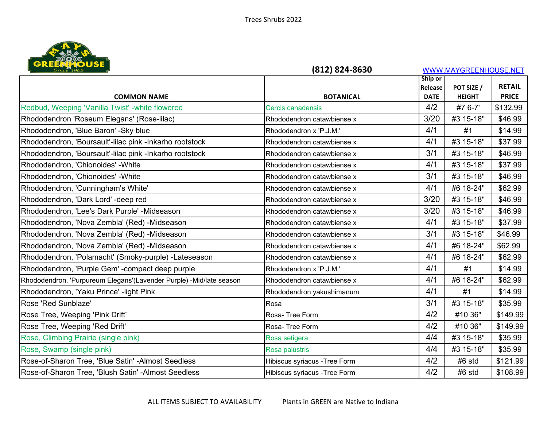

| <b>URE PART DUSE</b>                                                | (812) 824-8630                |                        | WWW.MAYGREENHOUSE.NET       |                               |
|---------------------------------------------------------------------|-------------------------------|------------------------|-----------------------------|-------------------------------|
|                                                                     |                               | Ship or                |                             |                               |
| <b>COMMON NAME</b>                                                  | <b>BOTANICAL</b>              | Release<br><b>DATE</b> | POT SIZE /<br><b>HEIGHT</b> | <b>RETAIL</b><br><b>PRICE</b> |
| Redbud, Weeping 'Vanilla Twist' -white flowered                     | Cercis canadensis             | 4/2                    | #7 6-7'                     | \$132.99                      |
|                                                                     |                               | 3/20                   |                             |                               |
| Rhododendron 'Roseum Elegans' (Rose-lilac)                          | Rhododendron catawbiense x    |                        | #3 15-18"                   | \$46.99                       |
| Rhododendron, 'Blue Baron' -Sky blue                                | Rhododendron x 'P.J.M.'       | 4/1                    | #1                          | \$14.99                       |
| Rhododendron, 'Boursault'-lilac pink -Inkarho rootstock             | Rhododendron catawbiense x    | 4/1                    | #3 15-18"                   | \$37.99                       |
| Rhododendron, 'Boursault'-lilac pink -Inkarho rootstock             | Rhododendron catawbiense x    | 3/1                    | #3 15-18"                   | \$46.99                       |
| Rhododendron, 'Chionoides' - White                                  | Rhododendron catawbiense x    | 4/1                    | #3 15-18"                   | \$37.99                       |
| Rhododendron, 'Chionoides' - White                                  | Rhododendron catawbiense x    | 3/1                    | #3 15-18"                   | \$46.99                       |
| Rhododendron, 'Cunningham's White'                                  | Rhododendron catawbiense x    | 4/1                    | #6 18-24"                   | \$62.99                       |
| Rhododendron, 'Dark Lord' -deep red                                 | Rhododendron catawbiense x    | 3/20                   | #3 15-18"                   | \$46.99                       |
| Rhododendron, 'Lee's Dark Purple' -Midseason                        | Rhododendron catawbiense x    | 3/20                   | #3 15-18"                   | \$46.99                       |
| Rhododendron, 'Nova Zembla' (Red) -Midseason                        | Rhododendron catawbiense x    | 4/1                    | #3 15-18"                   | \$37.99                       |
| Rhododendron, 'Nova Zembla' (Red) -Midseason                        | Rhododendron catawbiense x    | 3/1                    | #3 15-18"                   | \$46.99                       |
| Rhododendron, 'Nova Zembla' (Red) -Midseason                        | Rhododendron catawbiense x    | 4/1                    | #6 18-24"                   | \$62.99                       |
| Rhododendron, 'Polamacht' (Smoky-purple) -Lateseason                | Rhododendron catawbiense x    | 4/1                    | #6 18-24"                   | \$62.99                       |
| Rhododendron, 'Purple Gem' - compact deep purple                    | Rhododendron x 'P.J.M.'       | 4/1                    | #1                          | \$14.99                       |
| Rhododendron, 'Purpureum Elegans'(Lavender Purple) -Mid/late season | Rhododendron catawbiense x    | 4/1                    | #6 18-24"                   | \$62.99                       |
| Rhododendron, 'Yaku Prince' - light Pink                            | Rhododendron yakushimanum     | 4/1                    | #1                          | \$14.99                       |
| Rose 'Red Sunblaze'                                                 | Rosa                          | 3/1                    | #3 15-18"                   | \$35.99                       |
| Rose Tree, Weeping 'Pink Drift'                                     | Rosa-Tree Form                | 4/2                    | #10 36"                     | \$149.99                      |
| Rose Tree, Weeping 'Red Drift'                                      | Rosa-Tree Form                | 4/2                    | #10 36"                     | \$149.99                      |
| Rose, Climbing Prairie (single pink)                                | Rosa setigera                 | 4/4                    | #3 15-18"                   | \$35.99                       |
| Rose, Swamp (single pink)                                           | Rosa palustris                | 4/4                    | #3 15-18"                   | \$35.99                       |
| Rose-of-Sharon Tree, 'Blue Satin' -Almost Seedless                  | Hibiscus syriacus - Tree Form | 4/2                    | #6 std                      | \$121.99                      |
| Rose-of-Sharon Tree, 'Blush Satin' -Almost Seedless                 | Hibiscus syriacus - Tree Form | 4/2                    | #6 std                      | \$108.99                      |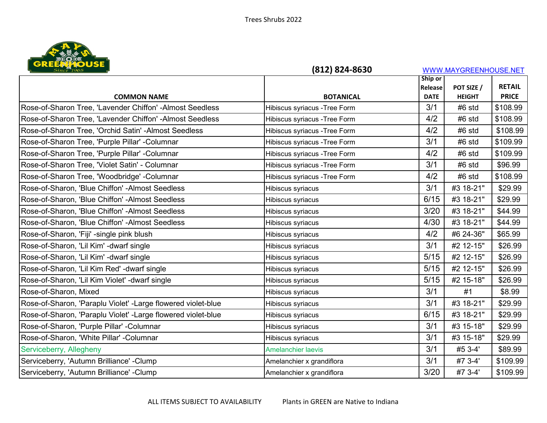

| <b>URE PART DUSE</b>                                          | (812) 824-8630                |                    | WWW.MAYGREENHOUSE.NET       |                               |
|---------------------------------------------------------------|-------------------------------|--------------------|-----------------------------|-------------------------------|
|                                                               |                               | Ship or            |                             |                               |
|                                                               | <b>BOTANICAL</b>              | Release            | POT SIZE /<br><b>HEIGHT</b> | <b>RETAIL</b><br><b>PRICE</b> |
| <b>COMMON NAME</b>                                            |                               | <b>DATE</b><br>3/1 |                             |                               |
| Rose-of-Sharon Tree, 'Lavender Chiffon' -Almost Seedless      | Hibiscus syriacus - Tree Form |                    | #6 std                      | \$108.99                      |
| Rose-of-Sharon Tree, 'Lavender Chiffon' -Almost Seedless      | Hibiscus syriacus - Tree Form | 4/2                | #6 std                      | \$108.99                      |
| Rose-of-Sharon Tree, 'Orchid Satin' - Almost Seedless         | Hibiscus syriacus - Tree Form | 4/2                | #6 std                      | \$108.99                      |
| Rose-of-Sharon Tree, 'Purple Pillar' -Columnar                | Hibiscus syriacus - Tree Form | 3/1                | #6 std                      | \$109.99                      |
| Rose-of-Sharon Tree, 'Purple Pillar' -Columnar                | Hibiscus syriacus - Tree Form | 4/2                | #6 std                      | \$109.99                      |
| Rose-of-Sharon Tree, 'Violet Satin' - Columnar                | Hibiscus syriacus - Tree Form | 3/1                | #6 std                      | \$96.99                       |
| Rose-of-Sharon Tree, 'Woodbridge' -Columnar                   | Hibiscus syriacus - Tree Form | 4/2                | #6 std                      | \$108.99                      |
| Rose-of-Sharon, 'Blue Chiffon' -Almost Seedless               | Hibiscus syriacus             | 3/1                | #3 18-21"                   | \$29.99                       |
| Rose-of-Sharon, 'Blue Chiffon' -Almost Seedless               | Hibiscus syriacus             | 6/15               | #3 18-21"                   | \$29.99                       |
| Rose-of-Sharon, 'Blue Chiffon' -Almost Seedless               | Hibiscus syriacus             | 3/20               | #3 18-21"                   | \$44.99                       |
| Rose-of-Sharon, 'Blue Chiffon' -Almost Seedless               | Hibiscus syriacus             | 4/30               | #3 18-21"                   | \$44.99                       |
| Rose-of-Sharon, 'Fiji' -single pink blush                     | Hibiscus syriacus             | 4/2                | #6 24-36"                   | \$65.99                       |
| Rose-of-Sharon, 'Lil Kim' -dwarf single                       | Hibiscus syriacus             | 3/1                | #2 12-15"                   | \$26.99                       |
| Rose-of-Sharon, 'Lil Kim' -dwarf single                       | Hibiscus syriacus             | 5/15               | #2 12-15"                   | \$26.99                       |
| Rose-of-Sharon, 'Lil Kim Red' -dwarf single                   | Hibiscus syriacus             | $5/15$             | #2 12-15"                   | \$26.99                       |
| Rose-of-Sharon, 'Lil Kim Violet' -dwarf single                | Hibiscus syriacus             | 5/15               | #2 15-18"                   | \$26.99                       |
| Rose-of-Sharon, Mixed                                         | Hibiscus syriacus             | 3/1                | #1                          | \$8.99                        |
| Rose-of-Sharon, 'Paraplu Violet' - Large flowered violet-blue | Hibiscus syriacus             | 3/1                | #3 18-21"                   | \$29.99                       |
| Rose-of-Sharon, 'Paraplu Violet' - Large flowered violet-blue | Hibiscus syriacus             | 6/15               | #3 18-21"                   | \$29.99                       |
| Rose-of-Sharon, 'Purple Pillar' -Columnar                     | Hibiscus syriacus             | 3/1                | #3 15-18"                   | \$29.99                       |
| Rose-of-Sharon, 'White Pillar' -Columnar                      | Hibiscus syriacus             | 3/1                | #3 15-18"                   | \$29.99                       |
| Serviceberry, Allegheny                                       | <b>Amelanchier laevis</b>     | 3/1                | #5 3-4'                     | \$89.99                       |
| Serviceberry, 'Autumn Brilliance' - Clump                     | Amelanchier x grandiflora     | 3/1                | #7 3-4'                     | \$109.99                      |
| Serviceberry, 'Autumn Brilliance' - Clump                     | Amelanchier x grandiflora     | 3/20               | #7 3-4'                     | \$109.99                      |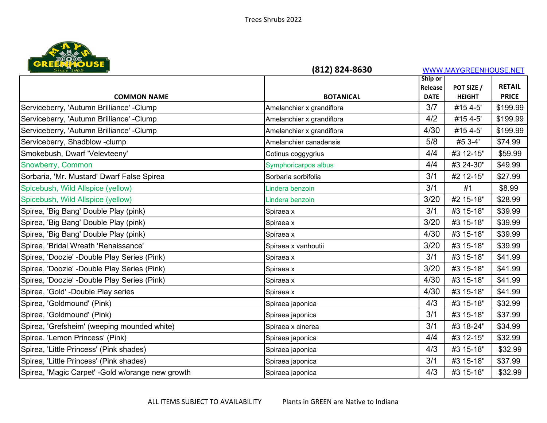

| Ship or<br><b>RETAIL</b><br>POT SIZE /<br>Release<br><b>BOTANICAL</b><br><b>HEIGHT</b><br><b>PRICE</b><br><b>COMMON NAME</b><br><b>DATE</b><br>3/7<br>#15 4-5'<br>\$199.99<br>Amelanchier x grandiflora<br>4/2<br>#15 4-5'<br>\$199.99<br>Amelanchier x grandiflora<br>4/30<br>#15 4-5'<br>\$199.99<br>Amelanchier x grandiflora<br>5/8<br>#5 3-4'<br>\$74.99<br>Amelanchier canadensis<br>4/4<br>#3 12-15"<br>\$59.99<br>Cotinus coggygrius<br>4/4<br>#3 24-30"<br>\$49.99<br>Symphoricarpos albus<br>3/1<br>\$27.99<br>Sorbaria sorbifolia<br>#2 12-15"<br>3/1<br>\$8.99<br>#1<br>Lindera benzoin<br>3/20<br>#2 15-18"<br>\$28.99<br>Lindera benzoin<br>3/1<br>#3 15-18"<br>\$39.99<br>Spiraea x<br>3/20<br>#3 15-18"<br>\$39.99<br>Spiraea x<br>4/30<br>\$39.99<br>#3 15-18"<br>Spiraea x<br>3/20<br>#3 15-18"<br>\$39.99<br>Spiraea x vanhoutii<br>#3 15-18"<br>3/1<br>\$41.99<br>Spiraea x<br>3/20<br>#3 15-18"<br>\$41.99<br>Spiraea x<br>4/30<br>\$41.99<br>#3 15-18"<br>Spiraea x<br>4/30<br>\$41.99<br>#3 15-18"<br>Spiraea x<br>4/3<br>#3 15-18"<br>\$32.99<br>Spiraea japonica<br>3/1<br>#3 15-18"<br>\$37.99<br>Spiraea japonica<br>3/1<br>#3 18-24"<br>\$34.99<br>Spiraea x cinerea<br>#3 12-15"<br>4/4<br>\$32.99<br>Spiraea japonica<br>4/3<br>#3 15-18"<br>\$32.99<br>Spiraea japonica<br>3/1<br>#3 15-18"<br>\$37.99<br>Spiraea japonica<br>4/3<br>#3 15-18"<br>\$32.99<br>Spiraea japonica | Since 1965                                        | (812) 824-8630 | WWW.MAYGREENHOUSE.NET |  |  |
|--------------------------------------------------------------------------------------------------------------------------------------------------------------------------------------------------------------------------------------------------------------------------------------------------------------------------------------------------------------------------------------------------------------------------------------------------------------------------------------------------------------------------------------------------------------------------------------------------------------------------------------------------------------------------------------------------------------------------------------------------------------------------------------------------------------------------------------------------------------------------------------------------------------------------------------------------------------------------------------------------------------------------------------------------------------------------------------------------------------------------------------------------------------------------------------------------------------------------------------------------------------------------------------------------------------------------------------------------------------------------------------------------------------|---------------------------------------------------|----------------|-----------------------|--|--|
|                                                                                                                                                                                                                                                                                                                                                                                                                                                                                                                                                                                                                                                                                                                                                                                                                                                                                                                                                                                                                                                                                                                                                                                                                                                                                                                                                                                                              |                                                   |                |                       |  |  |
|                                                                                                                                                                                                                                                                                                                                                                                                                                                                                                                                                                                                                                                                                                                                                                                                                                                                                                                                                                                                                                                                                                                                                                                                                                                                                                                                                                                                              |                                                   |                |                       |  |  |
|                                                                                                                                                                                                                                                                                                                                                                                                                                                                                                                                                                                                                                                                                                                                                                                                                                                                                                                                                                                                                                                                                                                                                                                                                                                                                                                                                                                                              | Serviceberry, 'Autumn Brilliance' - Clump         |                |                       |  |  |
|                                                                                                                                                                                                                                                                                                                                                                                                                                                                                                                                                                                                                                                                                                                                                                                                                                                                                                                                                                                                                                                                                                                                                                                                                                                                                                                                                                                                              | Serviceberry, 'Autumn Brilliance' - Clump         |                |                       |  |  |
|                                                                                                                                                                                                                                                                                                                                                                                                                                                                                                                                                                                                                                                                                                                                                                                                                                                                                                                                                                                                                                                                                                                                                                                                                                                                                                                                                                                                              | Serviceberry, 'Autumn Brilliance' - Clump         |                |                       |  |  |
|                                                                                                                                                                                                                                                                                                                                                                                                                                                                                                                                                                                                                                                                                                                                                                                                                                                                                                                                                                                                                                                                                                                                                                                                                                                                                                                                                                                                              | Serviceberry, Shadblow-clump                      |                |                       |  |  |
|                                                                                                                                                                                                                                                                                                                                                                                                                                                                                                                                                                                                                                                                                                                                                                                                                                                                                                                                                                                                                                                                                                                                                                                                                                                                                                                                                                                                              | Smokebush, Dwarf 'Velevteeny'                     |                |                       |  |  |
|                                                                                                                                                                                                                                                                                                                                                                                                                                                                                                                                                                                                                                                                                                                                                                                                                                                                                                                                                                                                                                                                                                                                                                                                                                                                                                                                                                                                              | Snowberry, Common                                 |                |                       |  |  |
|                                                                                                                                                                                                                                                                                                                                                                                                                                                                                                                                                                                                                                                                                                                                                                                                                                                                                                                                                                                                                                                                                                                                                                                                                                                                                                                                                                                                              | Sorbaria, 'Mr. Mustard' Dwarf False Spirea        |                |                       |  |  |
|                                                                                                                                                                                                                                                                                                                                                                                                                                                                                                                                                                                                                                                                                                                                                                                                                                                                                                                                                                                                                                                                                                                                                                                                                                                                                                                                                                                                              | Spicebush, Wild Allspice (yellow)                 |                |                       |  |  |
|                                                                                                                                                                                                                                                                                                                                                                                                                                                                                                                                                                                                                                                                                                                                                                                                                                                                                                                                                                                                                                                                                                                                                                                                                                                                                                                                                                                                              | Spicebush, Wild Allspice (yellow)                 |                |                       |  |  |
|                                                                                                                                                                                                                                                                                                                                                                                                                                                                                                                                                                                                                                                                                                                                                                                                                                                                                                                                                                                                                                                                                                                                                                                                                                                                                                                                                                                                              | Spirea, 'Big Bang' Double Play (pink)             |                |                       |  |  |
|                                                                                                                                                                                                                                                                                                                                                                                                                                                                                                                                                                                                                                                                                                                                                                                                                                                                                                                                                                                                                                                                                                                                                                                                                                                                                                                                                                                                              | Spirea, 'Big Bang' Double Play (pink)             |                |                       |  |  |
|                                                                                                                                                                                                                                                                                                                                                                                                                                                                                                                                                                                                                                                                                                                                                                                                                                                                                                                                                                                                                                                                                                                                                                                                                                                                                                                                                                                                              | Spirea, 'Big Bang' Double Play (pink)             |                |                       |  |  |
|                                                                                                                                                                                                                                                                                                                                                                                                                                                                                                                                                                                                                                                                                                                                                                                                                                                                                                                                                                                                                                                                                                                                                                                                                                                                                                                                                                                                              | Spirea, 'Bridal Wreath 'Renaissance'              |                |                       |  |  |
|                                                                                                                                                                                                                                                                                                                                                                                                                                                                                                                                                                                                                                                                                                                                                                                                                                                                                                                                                                                                                                                                                                                                                                                                                                                                                                                                                                                                              | Spirea, 'Doozie' -Double Play Series (Pink)       |                |                       |  |  |
|                                                                                                                                                                                                                                                                                                                                                                                                                                                                                                                                                                                                                                                                                                                                                                                                                                                                                                                                                                                                                                                                                                                                                                                                                                                                                                                                                                                                              | Spirea, 'Doozie' -Double Play Series (Pink)       |                |                       |  |  |
|                                                                                                                                                                                                                                                                                                                                                                                                                                                                                                                                                                                                                                                                                                                                                                                                                                                                                                                                                                                                                                                                                                                                                                                                                                                                                                                                                                                                              | Spirea, 'Doozie' -Double Play Series (Pink)       |                |                       |  |  |
|                                                                                                                                                                                                                                                                                                                                                                                                                                                                                                                                                                                                                                                                                                                                                                                                                                                                                                                                                                                                                                                                                                                                                                                                                                                                                                                                                                                                              | Spirea, 'Gold' -Double Play series                |                |                       |  |  |
|                                                                                                                                                                                                                                                                                                                                                                                                                                                                                                                                                                                                                                                                                                                                                                                                                                                                                                                                                                                                                                                                                                                                                                                                                                                                                                                                                                                                              | Spirea, 'Goldmound' (Pink)                        |                |                       |  |  |
|                                                                                                                                                                                                                                                                                                                                                                                                                                                                                                                                                                                                                                                                                                                                                                                                                                                                                                                                                                                                                                                                                                                                                                                                                                                                                                                                                                                                              | Spirea, 'Goldmound' (Pink)                        |                |                       |  |  |
|                                                                                                                                                                                                                                                                                                                                                                                                                                                                                                                                                                                                                                                                                                                                                                                                                                                                                                                                                                                                                                                                                                                                                                                                                                                                                                                                                                                                              | Spirea, 'Grefsheim' (weeping mounded white)       |                |                       |  |  |
|                                                                                                                                                                                                                                                                                                                                                                                                                                                                                                                                                                                                                                                                                                                                                                                                                                                                                                                                                                                                                                                                                                                                                                                                                                                                                                                                                                                                              | Spirea, 'Lemon Princess' (Pink)                   |                |                       |  |  |
|                                                                                                                                                                                                                                                                                                                                                                                                                                                                                                                                                                                                                                                                                                                                                                                                                                                                                                                                                                                                                                                                                                                                                                                                                                                                                                                                                                                                              | Spirea, 'Little Princess' (Pink shades)           |                |                       |  |  |
|                                                                                                                                                                                                                                                                                                                                                                                                                                                                                                                                                                                                                                                                                                                                                                                                                                                                                                                                                                                                                                                                                                                                                                                                                                                                                                                                                                                                              | Spirea, 'Little Princess' (Pink shades)           |                |                       |  |  |
|                                                                                                                                                                                                                                                                                                                                                                                                                                                                                                                                                                                                                                                                                                                                                                                                                                                                                                                                                                                                                                                                                                                                                                                                                                                                                                                                                                                                              | Spirea, 'Magic Carpet' - Gold w/orange new growth |                |                       |  |  |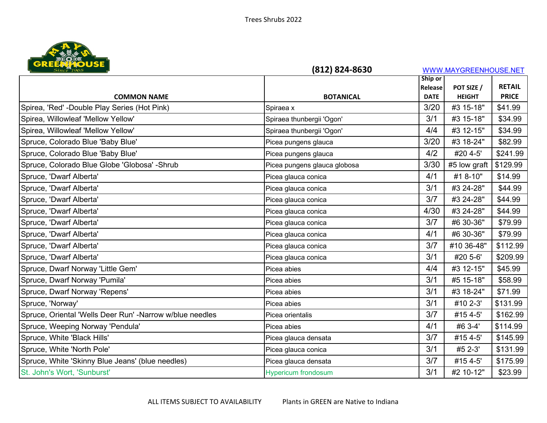

| Since 1965<br>(812) 824-8630                             |                              | WWW.MAYGREENHOUSE.NET |               |               |
|----------------------------------------------------------|------------------------------|-----------------------|---------------|---------------|
|                                                          |                              | Ship or               |               |               |
|                                                          |                              | Release               | POT SIZE /    | <b>RETAIL</b> |
| <b>COMMON NAME</b>                                       | <b>BOTANICAL</b>             | <b>DATE</b>           | <b>HEIGHT</b> | <b>PRICE</b>  |
| Spirea, 'Red' -Double Play Series (Hot Pink)             | Spiraea x                    | 3/20                  | #3 15-18"     | \$41.99       |
| Spirea, Willowleaf 'Mellow Yellow'                       | Spiraea thunbergii 'Ogon'    | 3/1                   | #3 15-18"     | \$34.99       |
| Spirea, Willowleaf 'Mellow Yellow'                       | Spiraea thunbergii 'Ogon'    | 4/4                   | #3 12-15"     | \$34.99       |
| Spruce, Colorado Blue 'Baby Blue'                        | Picea pungens glauca         | 3/20                  | #3 18-24"     | \$82.99       |
| Spruce, Colorado Blue 'Baby Blue'                        | Picea pungens glauca         | 4/2                   | #20 4-5'      | \$241.99      |
| Spruce, Colorado Blue Globe 'Globosa' -Shrub             | Picea pungens glauca globosa | 3/30                  | #5 low graft  | \$129.99      |
| Spruce, 'Dwarf Alberta'                                  | Picea glauca conica          | 4/1                   | #1 8-10"      | \$14.99       |
| Spruce, 'Dwarf Alberta'                                  | Picea glauca conica          | 3/1                   | #3 24-28"     | \$44.99       |
| Spruce, 'Dwarf Alberta'                                  | Picea glauca conica          | 3/7                   | #3 24-28"     | \$44.99       |
| Spruce, 'Dwarf Alberta'                                  | Picea glauca conica          | 4/30                  | #3 24-28"     | \$44.99       |
| Spruce, 'Dwarf Alberta'                                  | Picea glauca conica          | 3/7                   | #6 30-36"     | \$79.99       |
| Spruce, 'Dwarf Alberta'                                  | Picea glauca conica          | 4/1                   | #6 30-36"     | \$79.99       |
| Spruce, 'Dwarf Alberta'                                  | Picea glauca conica          | 3/7                   | #10 36-48"    | \$112.99      |
| Spruce, 'Dwarf Alberta'                                  | Picea glauca conica          | 3/1                   | #20 5-6'      | \$209.99      |
| Spruce, Dwarf Norway 'Little Gem'                        | Picea abies                  | 4/4                   | #3 12-15"     | \$45.99       |
| Spruce, Dwarf Norway 'Pumila'                            | Picea abies                  | 3/1                   | #5 15-18"     | \$58.99       |
| Spruce, Dwarf Norway 'Repens'                            | Picea abies                  | 3/1                   | #3 18-24"     | \$71.99       |
| Spruce, 'Norway'                                         | Picea abies                  | 3/1                   | #10 2-3'      | \$131.99      |
| Spruce, Oriental 'Wells Deer Run' -Narrow w/blue needles | Picea orientalis             | 3/7                   | #15 4-5'      | \$162.99      |
| Spruce, Weeping Norway 'Pendula'                         | Picea abies                  | 4/1                   | #6 3-4'       | \$114.99      |
| Spruce, White 'Black Hills'                              | Picea glauca densata         | 3/7                   | #15 4-5'      | \$145.99      |
| Spruce, White 'North Pole'                               | Picea glauca conica          | 3/1                   | #5 2-3'       | \$131.99      |
| Spruce, White 'Skinny Blue Jeans' (blue needles)         | Picea glauca densata         | 3/7                   | #15 4-5'      | \$175.99      |
| St. John's Wort, 'Sunburst'                              | <b>Hypericum frondosum</b>   | 3/1                   | #2 10-12"     | \$23.99       |
|                                                          |                              |                       |               |               |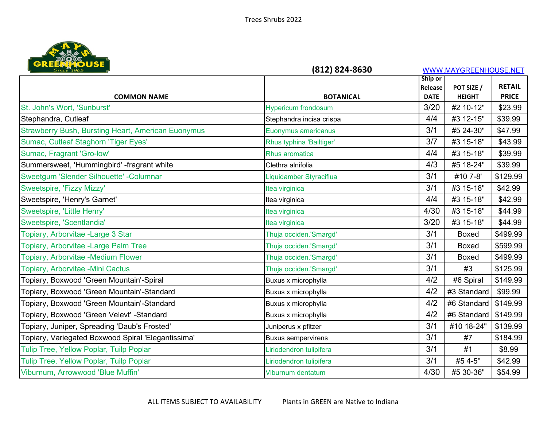

| Since 1965                                                | (812) 824-8630             |                        | WWW.MAYGREENHOUSE.NET       |               |  |
|-----------------------------------------------------------|----------------------------|------------------------|-----------------------------|---------------|--|
|                                                           |                            | Ship or                |                             | <b>RETAIL</b> |  |
| <b>COMMON NAME</b>                                        | <b>BOTANICAL</b>           | Release<br><b>DATE</b> | POT SIZE /<br><b>HEIGHT</b> | <b>PRICE</b>  |  |
| St. John's Wort, 'Sunburst'                               | <b>Hypericum frondosum</b> | 3/20                   | #2 10-12"                   | \$23.99       |  |
| Stephandra, Cutleaf                                       | Stephandra incisa crispa   | 4/4                    | #3 12-15"                   | \$39.99       |  |
| <b>Strawberry Bush, Bursting Heart, American Euonymus</b> | Euonymus americanus        | 3/1                    | #5 24-30"                   | \$47.99       |  |
| Sumac, Cutleaf Staghorn 'Tiger Eyes'                      | Rhus typhina 'Bailtiger'   | 3/7                    | #3 15-18"                   | \$43.99       |  |
| Sumac, Fragrant 'Gro-low'                                 | Rhus aromatica             | 4/4                    | #3 15-18"                   | \$39.99       |  |
| Summersweet, 'Hummingbird' -fragrant white                | Clethra alnifolia          | 4/3                    | #5 18-24"                   | \$39.99       |  |
| Sweetgum 'Slender Silhouette' - Columnar                  | Liquidamber Styraciflua    | 3/1                    | #10 7-8'                    | \$129.99      |  |
| Sweetspire, 'Fizzy Mizzy'                                 | Itea virginica             | 3/1                    | #3 15-18"                   | \$42.99       |  |
| Sweetspire, 'Henry's Garnet'                              | Itea virginica             | 4/4                    | #3 15-18"                   | \$42.99       |  |
| Sweetspire, 'Little Henry'                                | Itea virginica             | 4/30                   | #3 15-18"                   | \$44.99       |  |
| Sweetspire, 'Scentlandia'                                 | Itea virginica             | 3/20                   | #3 15-18"                   | \$44.99       |  |
| Topiary, Arborvitae -Large 3 Star                         | Thuja occiden.'Smargd'     | 3/1                    | <b>Boxed</b>                | \$499.99      |  |
| Topiary, Arborvitae -Large Palm Tree                      | Thuja occiden.'Smargd'     | 3/1                    | <b>Boxed</b>                | \$599.99      |  |
| Topiary, Arborvitae -Medium Flower                        | Thuja occiden.'Smargd'     | 3/1                    | <b>Boxed</b>                | \$499.99      |  |
| Topiary, Arborvitae -Mini Cactus                          | Thuja occiden.'Smargd'     | 3/1                    | #3                          | \$125.99      |  |
| Topiary, Boxwood 'Green Mountain'-Spiral                  | Buxus x microphylla        | 4/2                    | #6 Spiral                   | \$149.99      |  |
| Topiary, Boxwood 'Green Mountain'-Standard                | Buxus x microphylla        | 4/2                    | #3 Standard                 | \$99.99       |  |
| Topiary, Boxwood 'Green Mountain'-Standard                | Buxus x microphylla        | 4/2                    | #6 Standard                 | \$149.99      |  |
| Topiary, Boxwood 'Green Velevt' -Standard                 | Buxus x microphylla        | 4/2                    | #6 Standard                 | \$149.99      |  |
| Topiary, Juniper, Spreading 'Daub's Frosted'              | Juniperus x pfitzer        | 3/1                    | #10 18-24"                  | \$139.99      |  |
| Topiary, Variegated Boxwood Spiral 'Elegantissima'        | <b>Buxus sempervirens</b>  | 3/1                    | #7                          | \$184.99      |  |
| Tulip Tree, Yellow Poplar, Tuilp Poplar                   | Liriodendron tulipifera    | 3/1                    | #1                          | \$8.99        |  |
| Tulip Tree, Yellow Poplar, Tuilp Poplar                   | Liriodendron tulipifera    | 3/1                    | #5 4-5"                     | \$42.99       |  |
| Viburnum, Arrowwood 'Blue Muffin'                         | Viburnum dentatum          | 4/30                   | #5 30-36"                   | \$54.99       |  |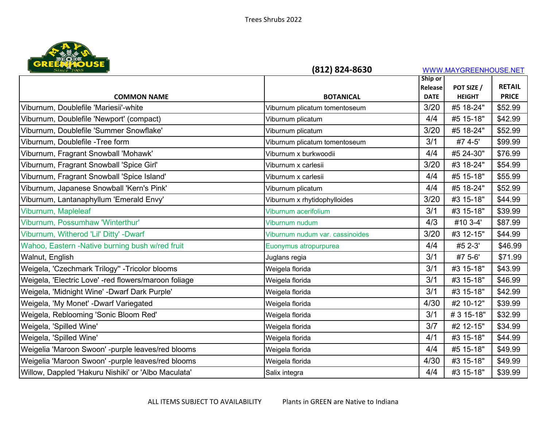

| <b>Since 1965</b>                                    | (812) 824-8630                  |             | WWW.MAYGREENHOUSE.NET       |                               |
|------------------------------------------------------|---------------------------------|-------------|-----------------------------|-------------------------------|
|                                                      |                                 | Ship or     |                             |                               |
|                                                      | <b>BOTANICAL</b>                | Release     | POT SIZE /<br><b>HEIGHT</b> | <b>RETAIL</b><br><b>PRICE</b> |
| <b>COMMON NAME</b>                                   |                                 | <b>DATE</b> |                             |                               |
| Viburnum, Doublefile 'Mariesii'-white                | Viburnum plicatum tomentoseum   | 3/20        | #5 18-24"                   | \$52.99                       |
| Viburnum, Doublefile 'Newport' (compact)             | Viburnum plicatum               | 4/4         | #5 15-18"                   | \$42.99                       |
| Viburnum, Doublefile 'Summer Snowflake'              | Viburnum plicatum               | 3/20        | #5 18-24"                   | \$52.99                       |
| Viburnum, Doublefile - Tree form                     | Viburnum plicatum tomentoseum   | 3/1         | #7 4-5'                     | \$99.99                       |
| Viburnum, Fragrant Snowball 'Mohawk'                 | Viburnum x burkwoodii           | 4/4         | #5 24-30"                   | \$76.99                       |
| Viburnum, Fragrant Snowball 'Spice Girl'             | Viburnum x carlesii             | 3/20        | #3 18-24"                   | \$54.99                       |
| Viburnum, Fragrant Snowball 'Spice Island'           | Viburnum x carlesii             | 4/4         | #5 15-18"                   | \$55.99                       |
| Viburnum, Japanese Snowball 'Kern's Pink'            | Viburnum plicatum               | 4/4         | #5 18-24"                   | \$52.99                       |
| Viburnum, Lantanaphyllum 'Emerald Envy'              | Viburnum x rhytidophylloides    | 3/20        | #3 15-18"                   | \$44.99                       |
| Viburnum, Mapleleaf                                  | Viburnum acerifolium            | 3/1         | #3 15-18"                   | \$39.99                       |
| Viburnum, Possumhaw 'Winterthur'                     | Viburnum nudum                  | 4/3         | #10 3-4'                    | \$87.99                       |
| Viburnum, Witherod 'Lil' Ditty' -Dwarf               | Viburnum nudum var. cassinoides | 3/20        | #3 12-15"                   | \$44.99                       |
| Wahoo, Eastern -Native burning bush w/red fruit      | Euonymus atropurpurea           | 4/4         | #5 2-3'                     | \$46.99                       |
| Walnut, English                                      | Juglans regia                   | 3/1         | #7 5-6'                     | \$71.99                       |
| Weigela, 'Czechmark Trilogy" - Tricolor blooms       | Weigela florida                 | 3/1         | #3 15-18"                   | \$43.99                       |
| Weigela, 'Electric Love' -red flowers/maroon foliage | Weigela florida                 | 3/1         | #3 15-18"                   | \$46.99                       |
| Weigela, 'Midnight Wine' - Dwarf Dark Purple'        | Weigela florida                 | 3/1         | #3 15-18"                   | \$42.99                       |
| Weigela, 'My Monet' - Dwarf Variegated               | Weigela florida                 | 4/30        | #2 10-12"                   | \$39.99                       |
| Weigela, Reblooming 'Sonic Bloom Red'                | Weigela florida                 | 3/1         | # 3 15-18"                  | \$32.99                       |
| Weigela, 'Spilled Wine'                              | Weigela florida                 | 3/7         | #2 12-15"                   | \$34.99                       |
| Weigela, 'Spilled Wine'                              | Weigela florida                 | 4/1         | #3 15-18"                   | \$44.99                       |
| Weigelia 'Maroon Swoon' -purple leaves/red blooms    | Weigela florida                 | 4/4         | #5 15-18"                   | \$49.99                       |
| Weigelia 'Maroon Swoon' -purple leaves/red blooms    | Weigela florida                 | 4/30        | #3 15-18"                   | \$49.99                       |
| Willow, Dappled 'Hakuru Nishiki' or 'Albo Maculata'  | Salix integra                   | 4/4         | #3 15-18"                   | \$39.99                       |